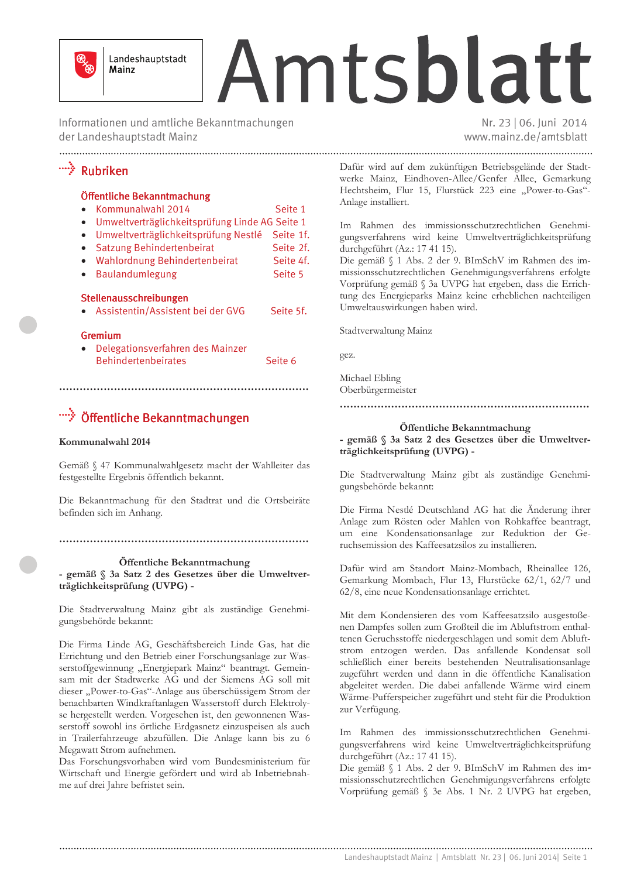

Landeshauptstadt Mainz

# Amtsblatt

Informationen und amtliche Bekanntmachungen der Landeshauptstadt Mainz

Nr. 23 | 06. Juni 2014 www.mainz.de/amtsblatt

## \*\*\*\*\*\*\* Rubriken

#### Öffentliche Bekanntmachung

| Kommunalwahl 2014                                                   | Seite 1 |  |
|---------------------------------------------------------------------|---------|--|
| $I_{m\nu\alpha}$ tu $\alpha$ träglichkoitenriifung Linde AC Soite 1 |         |  |

- Umweltverträglichkeitsprüfung Linde AG Seite 1
- Umweltverträglichkeitsprüfung Nestlé Seite 1f.
- Satzung Behindertenbeirat Seite 2f. • Wahlordnung Behindertenbeirat Seite 4f.
- · Baulandumlegung Seite 5

#### Stellenausschreibungen

• Assistentin/Assistent bei der GVG Seite 5f.

#### Gremium

• Delegationsverfahren des Mainzer **Behindertenbeirates** Seite 6

## ">>>>>>> Öffentliche Bekanntmachungen

#### Kommunalwahl 2014

Gemäß § 47 Kommunalwahlgesetz macht der Wahlleiter das festgestellte Ergebnis öffentlich bekannt.

Die Bekanntmachung für den Stadtrat und die Ortsbeiräte befinden sich im Anhang.

## Öffentliche Bekanntmachung

- gemäß § 3a Satz 2 des Gesetzes über die Umweltverträglichkeitsprüfung (UVPG) -

Die Stadtverwaltung Mainz gibt als zuständige Genehmigungsbehörde bekannt:

Die Firma Linde AG, Geschäftsbereich Linde Gas, hat die Errichtung und den Betrieb einer Forschungsanlage zur Wasserstoffgewinnung "Energiepark Mainz" beantragt. Gemeinsam mit der Stadtwerke AG und der Siemens AG soll mit dieser "Power-to-Gas"-Anlage aus überschüssigem Strom der benachbarten Windkraftanlagen Wasserstoff durch Elektrolyse hergestellt werden. Vorgesehen ist, den gewonnenen Wasserstoff sowohl ins örtliche Erdgasnetz einzuspeisen als auch in Trailerfahrzeuge abzufüllen. Die Anlage kann bis zu 6 Megawatt Strom aufnehmen.

Das Forschungsvorhaben wird vom Bundesministerium für Wirtschaft und Energie gefördert und wird ab Inbetriebnahme auf drei Jahre befristet sein.

Dafür wird auf dem zukünftigen Betriebsgelände der Stadtwerke Mainz, Eindhoven-Allee/Genfer Allee, Gemarkung Hechtsheim, Flur 15, Flurstück 223 eine "Power-to-Gas"-Anlage installiert.

Im Rahmen des immissionsschutzrechtlichen Genehmigungsverfahrens wird keine Umweltverträglichkeitsprüfung durchgeführt (Az.: 17 41 15).

Die gemäß § 1 Abs. 2 der 9. BImSchV im Rahmen des immissionsschutzrechtlichen Genehmigungsverfahrens erfolgte Vorprüfung gemäß § 3a UVPG hat ergeben, dass die Errichtung des Energieparks Mainz keine erheblichen nachteiligen Umweltauswirkungen haben wird.

Stadtverwaltung Mainz

gez.

Michael Ebling Oberbürgermeister

#### 

## Öffentliche Bekanntmachung

- gemäß § 3a Satz 2 des Gesetzes über die Umweltverträglichkeitsprüfung (UVPG) -

Die Stadtverwaltung Mainz gibt als zuständige Genehmigungsbehörde bekannt:

Die Firma Nestlé Deutschland AG hat die Änderung ihrer Anlage zum Rösten oder Mahlen von Rohkaffee beantragt, um eine Kondensationsanlage zur Reduktion der Geruchsemission des Kaffeesatzsilos zu installieren.

Dafür wird am Standort Mainz-Mombach, Rheinallee 126, Gemarkung Mombach, Flur 13, Flurstücke 62/1, 62/7 und 62/8, eine neue Kondensationsanlage errichtet.

Mit dem Kondensieren des vom Kaffeesatzsilo ausgestoßenen Dampfes sollen zum Großteil die im Abluftstrom enthaltenen Geruchsstoffe niedergeschlagen und somit dem Abluftstrom entzogen werden. Das anfallende Kondensat soll schließlich einer bereits bestehenden Neutralisationsanlage zugeführt werden und dann in die öffentliche Kanalisation abgeleitet werden. Die dabei anfallende Wärme wird einem Wärme-Pufferspeicher zugeführt und steht für die Produktion zur Verfügung.

Im Rahmen des immissionsschutzrechtlichen Genehmigungsverfahrens wird keine Umweltverträglichkeitsprüfung durchgeführt (Az.: 17 41 15).

Die gemäß § 1 Abs. 2 der 9. BImSchV im Rahmen des immissionsschutzrechtlichen Genehmigungsverfahrens erfolgte Vorprüfung gemäß § 3e Abs. 1 Nr. 2 UVPG hat ergeben,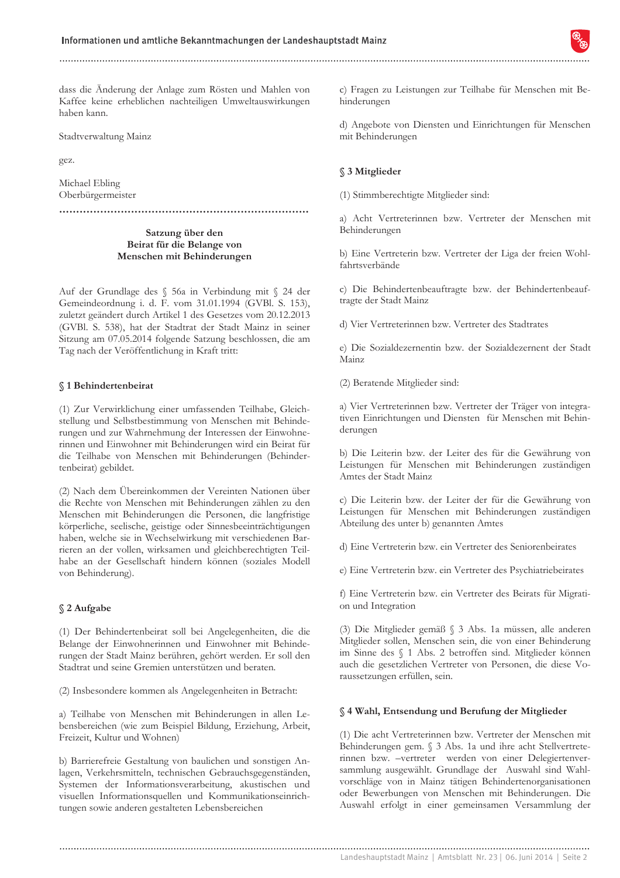dass die Änderung der Anlage zum Rösten und Mahlen von Kaffee keine erheblichen nachteiligen Umweltauswirkungen haben kann.

Stadtverwaltung Mainz

gez.

Michael Ebling Oberbürgermeister

Satzung über den Beirat für die Belange von Menschen mit Behinderungen

Auf der Grundlage des § 56a in Verbindung mit § 24 der Gemeindeordnung i. d. F. vom 31.01.1994 (GVBl. S. 153), zuletzt geändert durch Artikel 1 des Gesetzes vom 20.12.2013 (GVBl. S. 538), hat der Stadtrat der Stadt Mainz in seiner Sitzung am 07.05.2014 folgende Satzung beschlossen, die am Tag nach der Veröffentlichung in Kraft tritt:

#### § 1 Behindertenbeirat

(1) Zur Verwirklichung einer umfassenden Teilhabe, Gleichstellung und Selbstbestimmung von Menschen mit Behinderungen und zur Wahrnehmung der Interessen der Einwohnerinnen und Einwohner mit Behinderungen wird ein Beirat für die Teilhabe von Menschen mit Behinderungen (Behindertenbeirat) gebildet.

(2) Nach dem Übereinkommen der Vereinten Nationen über die Rechte von Menschen mit Behinderungen zählen zu den Menschen mit Behinderungen die Personen, die langfristige körperliche, seelische, geistige oder Sinnesbeeinträchtigungen haben, welche sie in Wechselwirkung mit verschiedenen Barrieren an der vollen, wirksamen und gleichberechtigten Teilhabe an der Gesellschaft hindern können (soziales Modell von Behinderung).

#### § 2 Aufgabe

(1) Der Behindertenbeirat soll bei Angelegenheiten, die die Belange der Einwohnerinnen und Einwohner mit Behinderungen der Stadt Mainz berühren, gehört werden. Er soll den Stadtrat und seine Gremien unterstützen und beraten.

(2) Insbesondere kommen als Angelegenheiten in Betracht:

a) Teilhabe von Menschen mit Behinderungen in allen Lebensbereichen (wie zum Beispiel Bildung, Erziehung, Arbeit, Freizeit. Kultur und Wohnen)

b) Barrierefreie Gestaltung von baulichen und sonstigen Anlagen. Verkehrsmitteln, technischen Gebrauchsgegenständen. Systemen der Informationsverarbeitung, akustischen und visuellen Informationsquellen und Kommunikationseinrichtungen sowie anderen gestalteten Lebensbereichen

c) Fragen zu Leistungen zur Teilhabe für Menschen mit Behinderungen

d) Angebote von Diensten und Einrichtungen für Menschen mit Behinderungen

#### § 3 Mitglieder

(1) Stimmberechtigte Mitglieder sind:

a) Acht Vertreterinnen bzw. Vertreter der Menschen mit Behinderungen

b) Eine Vertreterin bzw. Vertreter der Liga der freien Wohlfahrtsverbände

c) Die Behindertenbeauftragte bzw. der Behindertenbeauftragte der Stadt Mainz

d) Vier Vertreterinnen bzw. Vertreter des Stadtrates

e) Die Sozialdezernentin bzw. der Sozialdezernent der Stadt Mainz

(2) Beratende Mitglieder sind:

a) Vier Vertreterinnen bzw. Vertreter der Träger von integrativen Einrichtungen und Diensten für Menschen mit Behinderungen

b) Die Leiterin bzw. der Leiter des für die Gewährung von Leistungen für Menschen mit Behinderungen zuständigen Amtes der Stadt Mainz

c) Die Leiterin bzw. der Leiter der für die Gewährung von Leistungen für Menschen mit Behinderungen zuständigen Abteilung des unter b) genannten Amtes

d) Eine Vertreterin bzw. ein Vertreter des Seniorenbeirates

e) Eine Vertreterin bzw. ein Vertreter des Psychiatriebeirates

f) Eine Vertreterin bzw. ein Vertreter des Beirats für Migration und Integration

(3) Die Mitglieder gemäß § 3 Abs. 1a müssen, alle anderen Mitglieder sollen, Menschen sein, die von einer Behinderung im Sinne des § 1 Abs. 2 betroffen sind. Mitglieder können auch die gesetzlichen Vertreter von Personen, die diese Voraussetzungen erfüllen, sein.

#### § 4 Wahl, Entsendung und Berufung der Mitglieder

(1) Die acht Vertreterinnen bzw. Vertreter der Menschen mit Behinderungen gem. § 3 Abs. 1a und ihre acht Stellvertreterinnen bzw. -vertreter werden von einer Delegiertenversammlung ausgewählt. Grundlage der Auswahl sind Wahlvorschläge von in Mainz tätigen Behindertenorganisationen oder Bewerbungen von Menschen mit Behinderungen. Die Auswahl erfolgt in einer gemeinsamen Versammlung der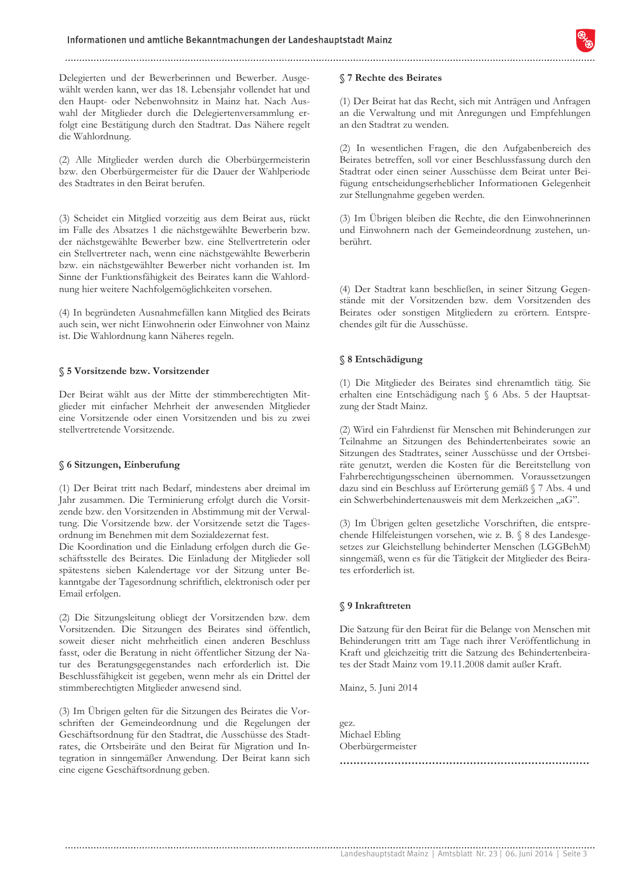Delegierten und der Bewerberinnen und Bewerber. Ausgewählt werden kann, wer das 18. Lebensjahr vollendet hat und den Haupt- oder Nebenwohnsitz in Mainz hat. Nach Auswahl der Mitglieder durch die Delegiertenversammlung erfolgt eine Bestätigung durch den Stadtrat. Das Nähere regelt die Wahlordnung.

(2) Alle Mitglieder werden durch die Oberbürgermeisterin bzw. den Oberbürgermeister für die Dauer der Wahlperiode des Stadtrates in den Beirat berufen.

(3) Scheidet ein Mitglied vorzeitig aus dem Beirat aus, rückt im Falle des Absatzes 1 die nächstgewählte Bewerberin bzw. der nächstgewählte Bewerber bzw. eine Stellvertreterin oder ein Stellvertreter nach, wenn eine nächstgewählte Bewerberin bzw. ein nächstgewählter Bewerber nicht vorhanden ist. Im Sinne der Funktionsfähigkeit des Beirates kann die Wahlordnung hier weitere Nachfolgemöglichkeiten vorsehen.

(4) In begründeten Ausnahmefällen kann Mitglied des Beirats auch sein, wer nicht Einwohnerin oder Einwohner von Mainz ist. Die Wahlordnung kann Näheres regeln.

#### § 5 Vorsitzende bzw. Vorsitzender

Der Beirat wählt aus der Mitte der stimmberechtigten Mitglieder mit einfacher Mehrheit der anwesenden Mitglieder eine Vorsitzende oder einen Vorsitzenden und bis zu zwei stellvertretende Vorsitzende.

#### § 6 Sitzungen, Einberufung

(1) Der Beirat tritt nach Bedarf, mindestens aber dreimal im Jahr zusammen. Die Terminierung erfolgt durch die Vorsitzende bzw. den Vorsitzenden in Abstimmung mit der Verwaltung. Die Vorsitzende bzw. der Vorsitzende setzt die Tagesordnung im Benehmen mit dem Sozialdezernat fest.

Die Koordination und die Einladung erfolgen durch die Geschäftsstelle des Beirates. Die Einladung der Mitglieder soll spätestens sieben Kalendertage vor der Sitzung unter Bekanntgabe der Tagesordnung schriftlich, elektronisch oder per Email erfolgen.

(2) Die Sitzungsleitung obliegt der Vorsitzenden bzw. dem Vorsitzenden. Die Sitzungen des Beirates sind öffentlich, soweit dieser nicht mehrheitlich einen anderen Beschluss fasst, oder die Beratung in nicht öffentlicher Sitzung der Natur des Beratungsgegenstandes nach erforderlich ist. Die Beschlussfähigkeit ist gegeben, wenn mehr als ein Drittel der stimmberechtigten Mitglieder anwesend sind.

(3) Im Übrigen gelten für die Sitzungen des Beirates die Vorschriften der Gemeindeordnung und die Regelungen der Geschäftsordnung für den Stadtrat, die Ausschüsse des Stadtrates, die Ortsbeiräte und den Beirat für Migration und Integration in sinngemäßer Anwendung. Der Beirat kann sich eine eigene Geschäftsordnung geben.

#### §7 Rechte des Beirates

(1) Der Beirat hat das Recht, sich mit Anträgen und Anfragen an die Verwaltung und mit Anregungen und Empfehlungen an den Stadtrat zu wenden.

(2) In wesentlichen Fragen, die den Aufgabenbereich des Beirates betreffen, soll vor einer Beschlussfassung durch den Stadtrat oder einen seiner Ausschüsse dem Beirat unter Beifügung entscheidungserheblicher Informationen Gelegenheit zur Stellungnahme gegeben werden.

(3) Im Übrigen bleiben die Rechte, die den Einwohnerinnen und Einwohnern nach der Gemeindeordnung zustehen, unberührt.

(4) Der Stadtrat kann beschließen, in seiner Sitzung Gegenstände mit der Vorsitzenden bzw. dem Vorsitzenden des Beirates oder sonstigen Mitgliedern zu erörtern. Entsprechendes gilt für die Ausschüsse.

#### § 8 Entschädigung

(1) Die Mitglieder des Beirates sind ehrenamtlich tätig. Sie erhalten eine Entschädigung nach § 6 Abs. 5 der Hauptsatzung der Stadt Mainz.

(2) Wird ein Fahrdienst für Menschen mit Behinderungen zur Teilnahme an Sitzungen des Behindertenbeirates sowie an Sitzungen des Stadtrates, seiner Ausschüsse und der Ortsbeiräte genutzt, werden die Kosten für die Bereitstellung von Fahrberechtigungsscheinen übernommen. Voraussetzungen dazu sind ein Beschluss auf Erörterung gemäß § 7 Abs. 4 und ein Schwerbehindertenausweis mit dem Merkzeichen "aG".

(3) Im Übrigen gelten gesetzliche Vorschriften, die entsprechende Hilfeleistungen vorsehen, wie z. B. § 8 des Landesgesetzes zur Gleichstellung behinderter Menschen (LGGBehM) sinngemäß, wenn es für die Tätigkeit der Mitglieder des Beirates erforderlich ist.

#### § 9 Inkrafttreten

Die Satzung für den Beirat für die Belange von Menschen mit Behinderungen tritt am Tage nach ihrer Veröffentlichung in Kraft und gleichzeitig tritt die Satzung des Behindertenbeirates der Stadt Mainz vom 19.11.2008 damit außer Kraft.

Mainz, 5. Juni 2014

gez. Michael Ebling Oberbürgermeister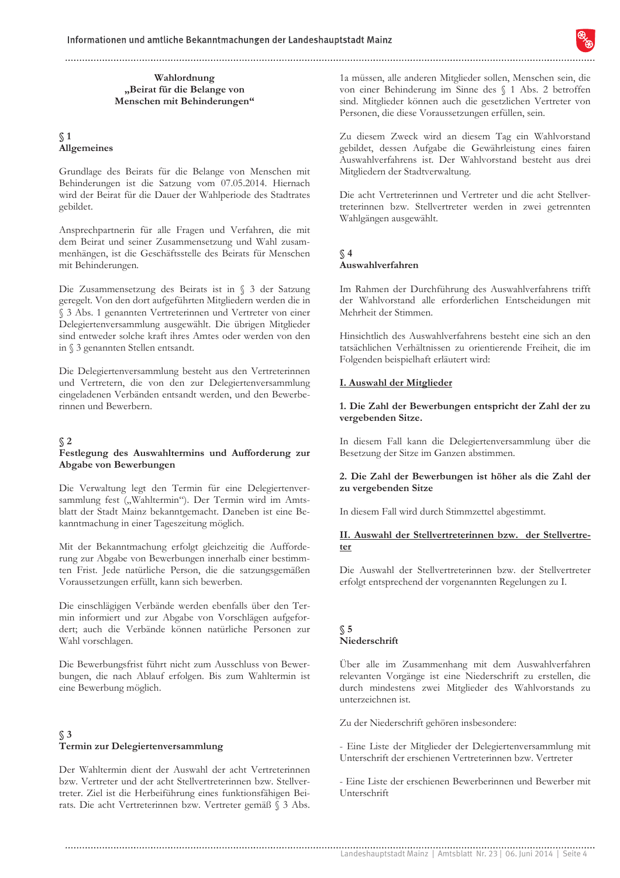#### Wahlordnung "Beirat für die Belange von Menschen mit Behinderungen"

#### $\sqrt{1}$ Allgemeines

Grundlage des Beirats für die Belange von Menschen mit Behinderungen ist die Satzung vom 07.05.2014. Hiernach wird der Beirat für die Dauer der Wahlperiode des Stadtrates gebildet.

Ansprechpartnerin für alle Fragen und Verfahren, die mit dem Beirat und seiner Zusammensetzung und Wahl zusammenhängen, ist die Geschäftsstelle des Beirats für Menschen mit Behinderungen.

Die Zusammensetzung des Beirats ist in § 3 der Satzung geregelt. Von den dort aufgeführten Mitgliedern werden die in § 3 Abs. 1 genannten Vertreterinnen und Vertreter von einer Delegiertenversammlung ausgewählt. Die übrigen Mitglieder sind entweder solche kraft ihres Amtes oder werden von den in § 3 genannten Stellen entsandt.

Die Delegiertenversammlung besteht aus den Vertreterinnen und Vertretern, die von den zur Delegiertenversammlung eingeladenen Verbänden entsandt werden, und den Bewerberinnen und Bewerbern.

#### $\binom{2}{}$

#### Festlegung des Auswahltermins und Aufforderung zur Abgabe von Bewerbungen

Die Verwaltung legt den Termin für eine Delegiertenversammlung fest ("Wahltermin"). Der Termin wird im Amtsblatt der Stadt Mainz bekanntgemacht. Daneben ist eine Bekanntmachung in einer Tageszeitung möglich.

Mit der Bekanntmachung erfolgt gleichzeitig die Aufforderung zur Abgabe von Bewerbungen innerhalb einer bestimmten Frist. Jede natürliche Person, die die satzungsgemäßen Voraussetzungen erfüllt, kann sich bewerben.

Die einschlägigen Verbände werden ebenfalls über den Termin informiert und zur Abgabe von Vorschlägen aufgefordert; auch die Verbände können natürliche Personen zur Wahl vorschlagen.

Die Bewerbungsfrist führt nicht zum Ausschluss von Bewerbungen, die nach Ablauf erfolgen. Bis zum Wahltermin ist eine Bewerbung möglich.

#### $\Im$ Termin zur Delegiertenversammlung

Der Wahltermin dient der Auswahl der acht Vertreterinnen bzw. Vertreter und der acht Stellvertreterinnen bzw. Stellvertreter. Ziel ist die Herbeiführung eines funktionsfähigen Beirats. Die acht Vertreterinnen bzw. Vertreter gemäß § 3 Abs.

1a müssen, alle anderen Mitglieder sollen, Menschen sein, die von einer Behinderung im Sinne des § 1 Abs. 2 betroffen sind. Mitglieder können auch die gesetzlichen Vertreter von Personen, die diese Voraussetzungen erfüllen, sein.

Zu diesem Zweck wird an diesem Tag ein Wahlvorstand gebildet, dessen Aufgabe die Gewährleistung eines fairen Auswahlverfahrens ist. Der Wahlvorstand besteht aus drei Mitgliedern der Stadtverwaltung.

Die acht Vertreterinnen und Vertreter und die acht Stellvertreterinnen bzw. Stellvertreter werden in zwei getrennten Wahlgängen ausgewählt.

#### $\Im$  4 Auswahlverfahren

Im Rahmen der Durchführung des Auswahlverfahrens trifft der Wahlvorstand alle erforderlichen Entscheidungen mit Mehrheit der Stimmen.

Hinsichtlich des Auswahlverfahrens besteht eine sich an den tatsächlichen Verhältnissen zu orientierende Freiheit, die im Folgenden beispielhaft erläutert wird:

#### I. Auswahl der Mitglieder

#### 1. Die Zahl der Bewerbungen entspricht der Zahl der zu vergebenden Sitze.

In diesem Fall kann die Delegiertenversammlung über die Besetzung der Sitze im Ganzen abstimmen.

#### 2. Die Zahl der Bewerbungen ist höher als die Zahl der zu vergebenden Sitze

In diesem Fall wird durch Stimmzettel abgestimmt.

#### II. Auswahl der Stellvertreterinnen bzw. der Stellvertreter

Die Auswahl der Stellvertreterinnen bzw. der Stellvertreter erfolgt entsprechend der vorgenannten Regelungen zu I.

#### $\Im$  5 Niederschrift

Über alle im Zusammenhang mit dem Auswahlverfahren relevanten Vorgänge ist eine Niederschrift zu erstellen, die durch mindestens zwei Mitglieder des Wahlvorstands zu unterzeichnen ist.

Zu der Niederschrift gehören insbesondere:

- Eine Liste der Mitglieder der Delegiertenversammlung mit Unterschrift der erschienen Vertreterinnen bzw. Vertreter

- Eine Liste der erschienen Bewerberinnen und Bewerber mit Unterschrift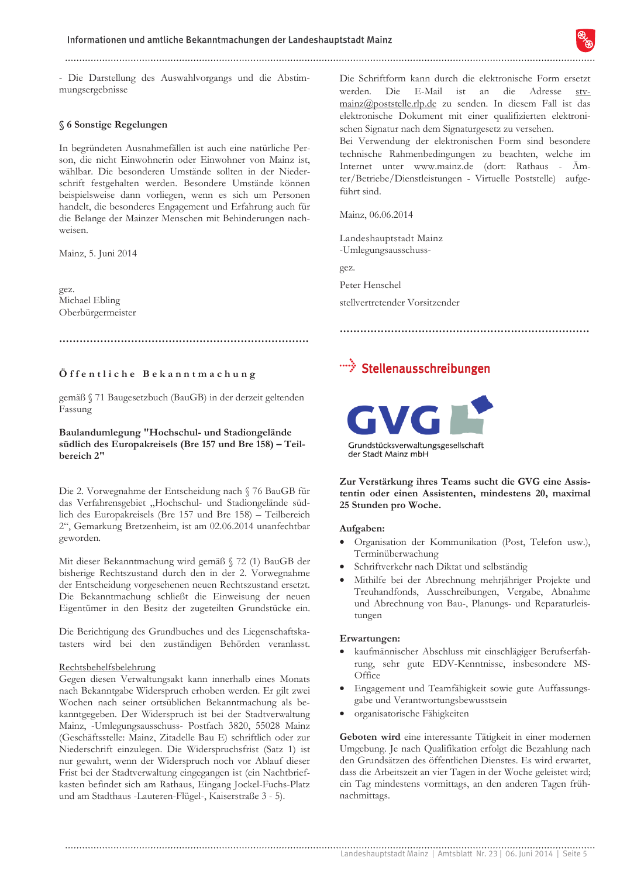- Die Darstellung des Auswahlvorgangs und die Abstimmungsergebnisse

#### § 6 Sonstige Regelungen

In begründeten Ausnahmefällen ist auch eine natürliche Person, die nicht Einwohnerin oder Einwohner von Mainz ist, wählbar. Die besonderen Umstände sollten in der Niederschrift festgehalten werden. Besondere Umstände können beispielsweise dann vorliegen, wenn es sich um Personen handelt, die besonderes Engagement und Erfahrung auch für die Belange der Mainzer Menschen mit Behinderungen nachweisen.

Mainz, 5. Juni 2014

gez. Michael Ebling Oberbürgermeister

#### 

#### Öffentliche Bekanntmachung

gemäß § 71 Baugesetzbuch (BauGB) in der derzeit geltenden Fassung

#### Baulandumlegung "Hochschul- und Stadiongelände südlich des Europakreisels (Bre 157 und Bre 158) - Teilbereich 2"

Die 2. Vorwegnahme der Entscheidung nach § 76 BauGB für das Verfahrensgebiet "Hochschul- und Stadiongelände südlich des Europakreisels (Bre 157 und Bre 158) – Teilbereich 2", Gemarkung Bretzenheim, ist am 02.06.2014 unanfechtbar geworden.

Mit dieser Bekanntmachung wird gemäß § 72 (1) BauGB der bisherige Rechtszustand durch den in der 2. Vorwegnahme der Entscheidung vorgesehenen neuen Rechtszustand ersetzt. Die Bekanntmachung schließt die Einweisung der neuen Eigentümer in den Besitz der zugeteilten Grundstücke ein.

Die Berichtigung des Grundbuches und des Liegenschaftskatasters wird bei den zuständigen Behörden veranlasst.

#### Rechtsbehelfsbelehrung

Gegen diesen Verwaltungsakt kann innerhalb eines Monats nach Bekanntgabe Widerspruch erhoben werden. Er gilt zwei Wochen nach seiner ortsüblichen Bekanntmachung als bekanntgegeben. Der Widerspruch ist bei der Stadtverwaltung Mainz, -Umlegungsausschuss- Postfach 3820, 55028 Mainz (Geschäftsstelle: Mainz, Zitadelle Bau E) schriftlich oder zur Niederschrift einzulegen. Die Widerspruchsfrist (Satz 1) ist nur gewahrt, wenn der Widerspruch noch vor Ablauf dieser Frist bei der Stadtverwaltung eingegangen ist (ein Nachtbriefkasten befindet sich am Rathaus. Eingang Jockel-Fuchs-Platz und am Stadthaus -Lauteren-Flügel-, Kaiserstraße 3 - 5).

Die Schriftform kann durch die elektronische Form ersetzt werden. Die E-Mail ist an die Adresse  $str$ mainz@poststelle.rlp.de zu senden. In diesem Fall ist das elektronische Dokument mit einer qualifizierten elektronischen Signatur nach dem Signaturgesetz zu versehen.

Bei Verwendung der elektronischen Form sind besondere technische Rahmenbedingungen zu beachten, welche im Internet unter www.mainz.de (dort: Rathaus - Ämter/Betriebe/Dienstleistungen - Virtuelle Poststelle) aufgeführt sind

Mainz, 06.06.2014

Landeshauptstadt Mainz -Umlegungsausschuss-

gez.

Peter Henschel

stellvertretender Vorsitzender

## "<sup>\*</sup>\*\* Stellenausschreibungen



Zur Verstärkung ihres Teams sucht die GVG eine Assistentin oder einen Assistenten, mindestens 20, maximal 25 Stunden pro Woche.

#### Aufgaben:

- Organisation der Kommunikation (Post, Telefon usw.), Terminüberwachung
- Schriftverkehr nach Diktat und selbständig
- Mithilfe bei der Abrechnung mehrjähriger Projekte und Treuhandfonds, Ausschreibungen, Vergabe, Abnahme und Abrechnung von Bau-, Planungs- und Reparaturleistungen

#### Erwartungen:

- kaufmännischer Abschluss mit einschlägiger Berufserfahrung, sehr gute EDV-Kenntnisse, insbesondere MS-Office
- Engagement und Teamfähigkeit sowie gute Auffassungsgabe und Verantwortungsbewusstsein
- organisatorische Fähigkeiten

Geboten wird eine interessante Tätigkeit in einer modernen Umgebung. Je nach Qualifikation erfolgt die Bezahlung nach den Grundsätzen des öffentlichen Dienstes. Es wird erwartet, dass die Arbeitszeit an vier Tagen in der Woche geleistet wird; ein Tag mindestens vormittags, an den anderen Tagen frühnachmittags.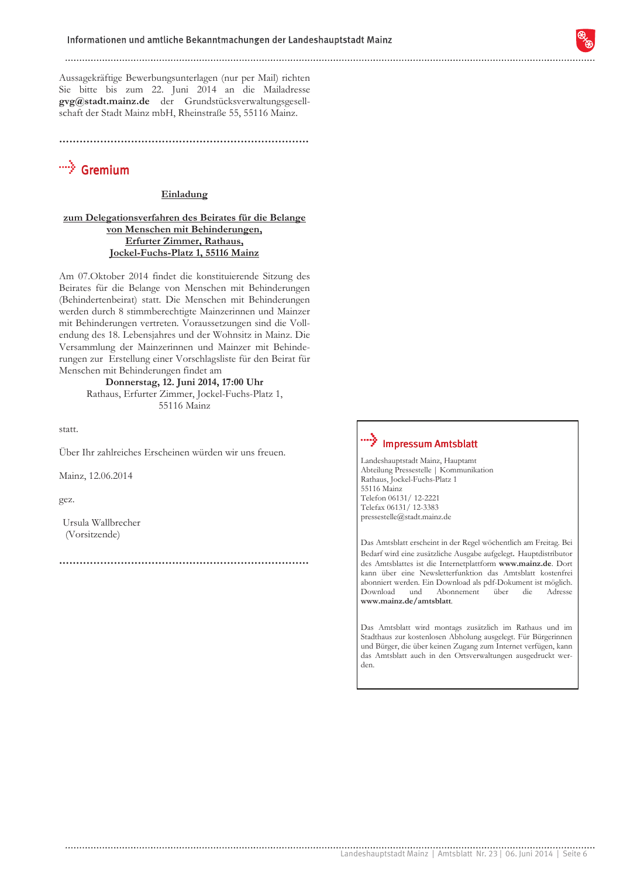Aussagekräftige Bewerbungsunterlagen (nur per Mail) richten Sie bitte bis zum 22. Juni 2014 an die Mailadresse gvg@stadt.mainz.de der Grundstücksverwaltungsgesellschaft der Stadt Mainz mbH, Rheinstraße 55, 55116 Mainz.

## <sup>…</sup>∕े Gremium

#### Einladung

#### zum Delegationsverfahren des Beirates für die Belange von Menschen mit Behinderungen, Erfurter Zimmer, Rathaus, Jockel-Fuchs-Platz 1, 55116 Mainz

Am 07. Oktober 2014 findet die konstituierende Sitzung des Beirates für die Belange von Menschen mit Behinderungen (Behindertenbeirat) statt. Die Menschen mit Behinderungen werden durch 8 stimmberechtigte Mainzerinnen und Mainzer mit Behinderungen vertreten. Voraussetzungen sind die Vollendung des 18. Lebensjahres und der Wohnsitz in Mainz. Die Versammlung der Mainzerinnen und Mainzer mit Behinderungen zur Erstellung einer Vorschlagsliste für den Beirat für Menschen mit Behinderungen findet am

## Donnerstag, 12. Juni 2014, 17:00 Uhr

Rathaus, Erfurter Zimmer, Jockel-Fuchs-Platz 1, 55116 Mainz

statt.

Über Ihr zahlreiches Erscheinen würden wir uns freuen.

Mainz, 12.06.2014

gez.

Ursula Wallbrecher (Vorsitzende)

## "">> Impressum Amtsblatt

Landeshauptstadt Mainz, Hauptamt Abteilung Pressestelle | Kommunikation Rathaus, Jockel-Fuchs-Platz 1 55116 Mainz Telefon 06131/12-2221 Telefax 06131/12-3383  $\text{pressure}(\textcolor{red}{\hat{a}}\textcolor{black}{s} \textcolor{black}{t}.\textcolor{red}{mainz}.\textcolor{black}{de}$ 

Das Amtsblatt erscheint in der Regel wöchentlich am Freitag. Bei Bedarf wird eine zusätzliche Ausgabe aufgelegt. Hauptdistributor des Amtsblattes ist die Internetplattform www.mainz.de. Dort kann über eine Newsletterfunktion das Amtsblatt kostenfrei abonniert werden. Ein Download als pdf-Dokument ist möglich. Download md Abonnement Adresse über  $die$ www.mainz.de/amtsblatt.

Das Amtsblatt wird montags zusätzlich im Rathaus und im Stadthaus zur kostenlosen Abholung ausgelegt. Für Bürgerinnen und Bürger, die über keinen Zugang zum Internet verfügen, kann das Amtsblatt auch in den Ortsverwaltungen ausgedruckt werden.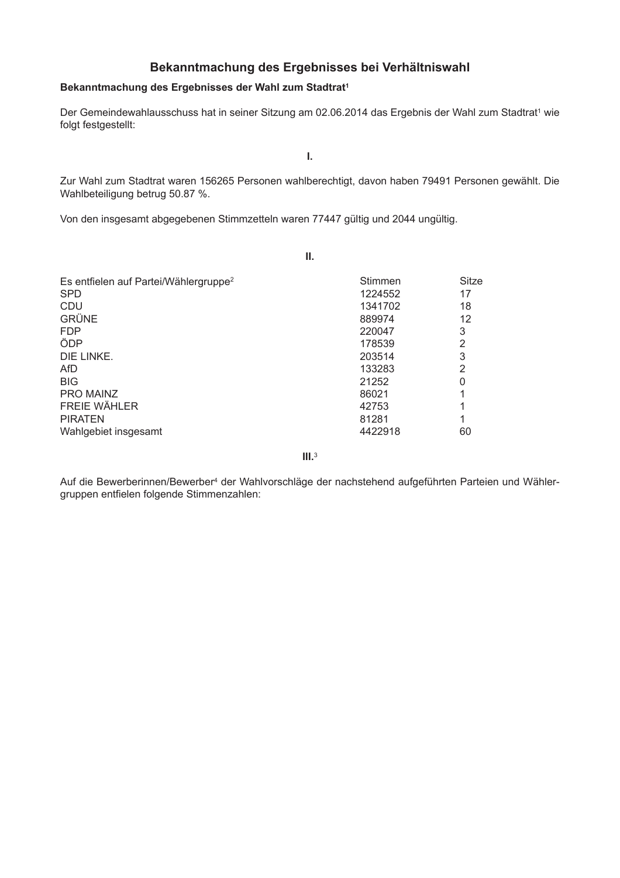## Bekanntmachung des Ergebnisses bei Verhältniswahl

#### Bekanntmachung des Ergebnisses der Wahl zum Stadtrat<sup>1</sup>

Der Gemeindewahlausschuss hat in seiner Sitzung am 02.06.2014 das Ergebnis der Wahl zum Stadtrat<sup>1</sup> wie folgt festgestellt:

Ī.

Zur Wahl zum Stadtrat waren 156265 Personen wahlberechtigt, davon haben 79491 Personen gewählt. Die Wahlbeteiligung betrug 50.87 %.

Von den insgesamt abgegebenen Stimmzetteln waren 77447 gültig und 2044 ungültig.

|                                                                                                                                                                                           | Ш.                                                                                                |                                                          |
|-------------------------------------------------------------------------------------------------------------------------------------------------------------------------------------------|---------------------------------------------------------------------------------------------------|----------------------------------------------------------|
| Es entfielen auf Partei/Wählergruppe <sup>2</sup><br><b>SPD</b><br><b>CDU</b><br><b>GRÜNE</b><br><b>FDP</b><br>ÖDP<br>DIE LINKE.<br>AfD<br><b>BIG</b><br>PRO MAINZ<br><b>FREIE WÄHLER</b> | Stimmen<br>1224552<br>1341702<br>889974<br>220047<br>178539<br>203514<br>133283<br>21252<br>86021 | Sitze<br>17<br>18<br>12<br>3<br>$\overline{2}$<br>3<br>2 |
| <b>PIRATEN</b><br>Wahlgebiet insgesamt                                                                                                                                                    | 42753<br>81281<br>4422918                                                                         | 60                                                       |
|                                                                                                                                                                                           |                                                                                                   |                                                          |

 $III.<sup>3</sup>$ 

Auf die Bewerberinnen/Bewerber<sup>4</sup> der Wahlvorschläge der nachstehend aufgeführten Parteien und Wählergruppen entfielen folgende Stimmenzahlen: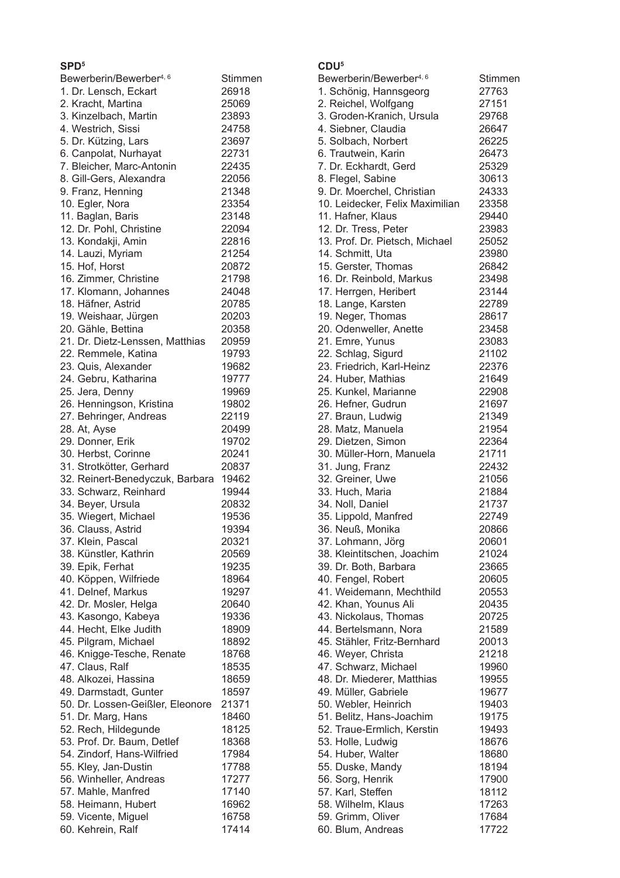## c<sub>DD5</sub>

| SPD'                                |         |
|-------------------------------------|---------|
| Bewerberin/Bewerber <sup>4, 6</sup> | Stimmen |
| 1. Dr. Lensch, Eckart               | 26918   |
| 2. Kracht, Martina                  | 25069   |
| 3. Kinzelbach, Martin               | 23893   |
| 4. Westrich, Sissi                  | 24758   |
|                                     |         |
| 5. Dr. Kützing, Lars                | 23697   |
| 6. Canpolat, Nurhayat               | 22731   |
| 7. Bleicher, Marc-Antonin           | 22435   |
| 8. Gill-Gers, Alexandra             | 22056   |
| 9. Franz, Henning                   | 21348   |
| 10. Egler, Nora                     | 23354   |
| 11. Baglan, Baris                   | 23148   |
| 12. Dr. Pohl, Christine             | 22094   |
|                                     |         |
| 13. Kondakji, Amin                  | 22816   |
| 14. Lauzi, Myriam                   | 21254   |
| 15. Hof, Horst                      | 20872   |
| 16. Zimmer, Christine               | 21798   |
| 17. Klomann, Johannes               | 24048   |
| 18. Häfner, Astrid                  | 20785   |
| 19. Weishaar, Jürgen                | 20203   |
|                                     | 20358   |
| 20. Gähle, Bettina                  |         |
| 21. Dr. Dietz-Lenssen, Matthias     | 20959   |
| 22. Remmele, Katina                 | 19793   |
| 23. Quis, Alexander                 | 19682   |
| 24. Gebru, Katharina                | 19777   |
| 25. Jera, Denny                     | 19969   |
| 26. Henningson, Kristina            | 19802   |
| 27. Behringer, Andreas              | 22119   |
|                                     |         |
| 28. At, Ayse                        | 20499   |
| 29. Donner, Erik                    | 19702   |
| 30. Herbst, Corinne                 | 20241   |
| 31. Strotkötter, Gerhard            | 20837   |
| 32. Reinert-Benedyczuk, Barbara     | 19462   |
| 33. Schwarz, Reinhard               | 19944   |
| 34. Beyer, Ursula                   | 20832   |
| 35. Wiegert, Michael                | 19536   |
|                                     |         |
| 36. Clauss, Astrid                  | 19394   |
| 37. Klein, Pascal                   | 20321   |
| 38. Künstler, Kathrin               | 20569   |
| 39. Epik, Ferhat                    | 19235   |
| 40. Köppen, Wilfriede               | 18964   |
| 41. Delnef, Markus                  | 19297   |
| 42. Dr. Mosler, Helga               | 20640   |
| 43. Kasongo, Kabeya                 | 19336   |
| 44. Hecht, Elke Judith              | 18909   |
|                                     |         |
| 45. Pilgram, Michael                | 18892   |
| 46. Knigge-Tesche, Renate           | 18768   |
| 47. Claus, Ralf                     | 18535   |
| 48. Alkozei, Hassina                | 18659   |
| 49. Darmstadt, Gunter               | 18597   |
| 50. Dr. Lossen-Geißler, Eleonore    | 21371   |
| 51. Dr. Marg, Hans                  | 18460   |
|                                     | 18125   |
| 52. Rech, Hildegunde                |         |
| 53. Prof. Dr. Baum, Detlef          | 18368   |
| 54. Zindorf, Hans-Wilfried          | 17984   |
| 55. Kley, Jan-Dustin                | 17788   |
| 56. Winheller, Andreas              | 17277   |
| 57. Mahle, Manfred                  | 17140   |
| 58. Heimann, Hubert                 | 16962   |
| 59. Vicente, Miguel                 | 16758   |
| 60. Kehrein, Ralf                   | 17414   |
|                                     |         |

## $CDU<sup>5</sup>$

| Bewerberin/Bewerber <sup>4, 6</sup> | Stimmen |
|-------------------------------------|---------|
| 1. Schönig, Hannsgeorg              | 27763   |
| 2. Reichel, Wolfgang                | 27151   |
| 3. Groden-Kranich, Ursula           | 29768   |
| 4. Siebner, Claudia                 | 26647   |
| 5. Solbach, Norbert                 | 26225   |
| 6. Trautwein, Karin                 | 26473   |
| 7. Dr. Eckhardt, Gerd               | 25329   |
| 8. Flegel, Sabine                   | 30613   |
| 9. Dr. Moerchel, Christian          | 24333   |
| 10. Leidecker, Felix Maximilian     | 23358   |
| 11. Hafner, Klaus                   | 29440   |
| 12. Dr. Tress, Peter                | 23983   |
| 13. Prof. Dr. Pietsch, Michael      | 25052   |
| 14. Schmitt, Uta                    | 23980   |
| 15. Gerster, Thomas                 | 26842   |
| 16. Dr. Reinbold, Markus            | 23498   |
| 17. Herrgen, Heribert               | 23144   |
| 18. Lange, Karsten                  | 22789   |
| 19. Neger, Thomas                   | 28617   |
| 20. Odenweller, Anette              | 23458   |
| 21. Emre, Yunus                     | 23083   |
| 22. Schlag, Sigurd                  | 21102   |
| 23. Friedrich, Karl-Heinz           | 22376   |
| 24. Huber, Mathias                  | 21649   |
| 25. Kunkel, Marianne                | 22908   |
| 26. Hefner, Gudrun                  | 21697   |
| 27. Braun, Ludwig                   | 21349   |
| 28. Matz, Manuela                   | 21954   |
| 29. Dietzen, Simon                  | 22364   |
| 30. Müller-Horn, Manuela            | 21711   |
| 31. Jung, Franz                     | 22432   |
| 32. Greiner, Uwe                    | 21056   |
| 33. Huch, Maria                     | 21884   |
| 34. Noll, Daniel                    | 21737   |
| 35. Lippold, Manfred                | 22749   |
| 36. Neuß, Monika                    | 20866   |
| 37. Lohmann, Jörg                   | 20601   |
| 38. Kleintitschen, Joachim          | 21024   |
| 39. Dr. Both, Barbara               | 23665   |
| 40. Fengel, Robert                  | 20605   |
| 41. Weidemann, Mechthild            | 20553   |
| 42. Khan, Younus Ali                | 20435   |
| 43. Nickolaus, Thomas               | 20725   |
| 44. Bertelsmann, Nora               | 21589   |
| 45. Stähler, Fritz-Bernhard         | 20013   |
| 46. Weyer, Christa                  | 21218   |
| 47. Schwarz, Michael                | 19960   |
| 48. Dr. Miederer, Matthias          | 19955   |
| 49. Müller, Gabriele                | 19677   |
| 50. Webler, Heinrich                | 19403   |
| 51. Belitz, Hans-Joachim            | 19175   |
| 52. Traue-Ermlich, Kerstin          | 19493   |
| 53. Holle, Ludwig                   | 18676   |
| 54. Huber, Walter                   | 18680   |
| 55. Duske, Mandy                    | 18194   |
| 56. Sorg, Henrik                    | 17900   |
| 57. Karl, Steffen                   | 18112   |
| 58. Wilhelm, Klaus                  | 17263   |
| 59. Grimm, Oliver                   | 17684   |
| 60. Blum, Andreas                   | 17722   |
|                                     |         |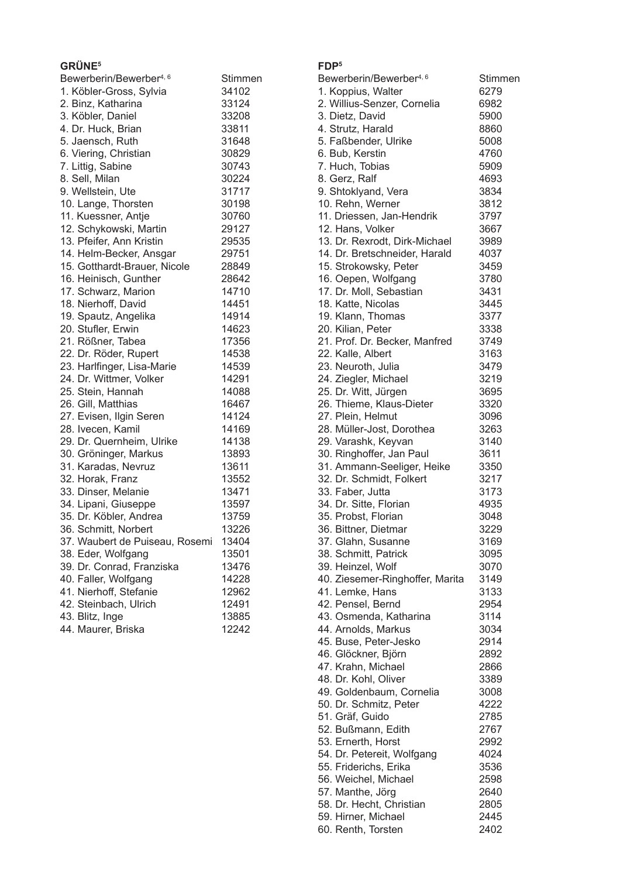| GRÜNE <sup>5</sup>                  |         | FDP <sup>5</sup>                    |
|-------------------------------------|---------|-------------------------------------|
| Bewerberin/Bewerber <sup>4, 6</sup> | Stimmen | Bewerberin/Bewerber <sup>4, 6</sup> |
| 1. Köbler-Gross, Sylvia             | 34102   | 1. Koppius, Walter                  |
| 2. Binz, Katharina                  | 33124   | 2. Willius-Senzer, Cornelia         |
| 3. Köbler, Daniel                   | 33208   | 3. Dietz, David                     |
| 4. Dr. Huck, Brian                  | 33811   | 4. Strutz, Harald                   |
| 5. Jaensch, Ruth                    | 31648   | 5. Faßbender, Ulrike                |
| 6. Viering, Christian               | 30829   | 6. Bub, Kerstin                     |
| 7. Littig, Sabine                   | 30743   | 7. Huch, Tobias                     |
| 8. Sell, Milan                      | 30224   | 8. Gerz, Ralf                       |
|                                     | 31717   |                                     |
| 9. Wellstein, Ute                   |         | 9. Shtoklyand, Vera                 |
| 10. Lange, Thorsten                 | 30198   | 10. Rehn, Werner                    |
| 11. Kuessner, Antje                 | 30760   | 11. Driessen, Jan-Hendrik           |
| 12. Schykowski, Martin              | 29127   | 12. Hans, Volker                    |
| 13. Pfeifer, Ann Kristin            | 29535   | 13. Dr. Rexrodt, Dirk-Michael       |
| 14. Helm-Becker, Ansgar             | 29751   | 14. Dr. Bretschneider, Harald       |
| 15. Gotthardt-Brauer, Nicole        | 28849   | 15. Strokowsky, Peter               |
| 16. Heinisch, Gunther               | 28642   | 16. Oepen, Wolfgang                 |
| 17. Schwarz, Marion                 | 14710   | 17. Dr. Moll, Sebastian             |
| 18. Nierhoff, David                 | 14451   | 18. Katte, Nicolas                  |
| 19. Spautz, Angelika                | 14914   | 19. Klann, Thomas                   |
| 20. Stufler, Erwin                  | 14623   | 20. Kilian, Peter                   |
| 21. Rößner, Tabea                   | 17356   | 21. Prof. Dr. Becker, Manfred       |
| 22. Dr. Röder, Rupert               | 14538   | 22. Kalle, Albert                   |
| 23. Harlfinger, Lisa-Marie          | 14539   | 23. Neuroth, Julia                  |
| 24. Dr. Wittmer, Volker             | 14291   | 24. Ziegler, Michael                |
| 25. Stein, Hannah                   | 14088   | 25. Dr. Witt, Jürgen                |
| 26. Gill, Matthias                  | 16467   | 26. Thieme, Klaus-Dieter            |
| 27. Evisen, Ilgin Seren             | 14124   | 27. Plein, Helmut                   |
| 28. Ivecen, Kamil                   | 14169   | 28. Müller-Jost, Dorothea           |
| 29. Dr. Quernheim, Ulrike           | 14138   | 29. Varashk, Keyvan                 |
| 30. Gröninger, Markus               | 13893   | 30. Ringhoffer, Jan Paul            |
| 31. Karadas, Nevruz                 | 13611   | 31. Ammann-Seeliger, Heike          |
| 32. Horak, Franz                    | 13552   | 32. Dr. Schmidt, Folkert            |
| 33. Dinser, Melanie                 | 13471   | 33. Faber, Jutta                    |
| 34. Lipani, Giuseppe                | 13597   | 34. Dr. Sitte, Florian              |
| 35. Dr. Köbler, Andrea              | 13759   | 35. Probst, Florian                 |
| 36. Schmitt, Norbert                | 13226   | 36. Bittner, Dietmar                |
| 37. Waubert de Puiseau, Rosemi      | 13404   | 37. Glahn, Susanne                  |
| 38. Eder, Wolfgang                  | 13501   | 38. Schmitt, Patrick                |
| 39. Dr. Conrad, Franziska           | 13476   | 39. Heinzel, Wolf                   |
| 40. Faller, Wolfgang                | 14228   | 40. Ziesemer-Ringhoffer, Mar        |
| 41. Nierhoff, Stefanie              | 12962   | 41. Lemke, Hans                     |
| 42. Steinbach, Ulrich               | 12491   | 42. Pensel, Bernd                   |
| 43. Blitz, Inge                     | 13885   | 43. Osmenda, Katharina              |
| 44. Maurer, Briska                  | 12242   |                                     |
|                                     |         | 44. Arnolds, Markus                 |

| Bewerberin/Bewerber <sup>4, 6</sup> | Stimmen |
|-------------------------------------|---------|
| 1. Koppius, Walter                  | 6279    |
| 2. Willius-Senzer, Cornelia         | 6982    |
| 3. Dietz, David                     | 5900    |
| 4. Strutz, Harald                   | 8860    |
| 5. Faßbender, Ulrike                | 5008    |
| 6. Bub, Kerstin                     | 4760    |
| 7. Huch, Tobias                     | 5909    |
| 8. Gerz, Ralf                       | 4693    |
| 9. Shtoklyand, Vera                 | 3834    |
| 10. Rehn, Werner                    | 3812    |
| 11. Driessen, Jan-Hendrik           | 3797    |
| 12. Hans, Volker                    | 3667    |
| 13. Dr. Rexrodt, Dirk-Michael       | 3989    |
| 14. Dr. Bretschneider, Harald       | 4037    |
| 15. Strokowsky, Peter               | 3459    |
| 16. Oepen, Wolfgang                 | 3780    |
| 17. Dr. Moll, Sebastian             | 3431    |
| 18. Katte, Nicolas                  | 3445    |
| 19. Klann, Thomas                   | 3377    |
| 20. Kilian, Peter                   | 3338    |
| 21. Prof. Dr. Becker, Manfred       | 3749    |
| 22. Kalle, Albert                   | 3163    |
| 23. Neuroth, Julia                  | 3479    |
| 24. Ziegler, Michael                | 3219    |
| 25. Dr. Witt, Jürgen                | 3695    |
| 26. Thieme, Klaus-Dieter            | 3320    |
| 27. Plein, Helmut                   | 3096    |
| 28. Müller-Jost, Dorothea           | 3263    |
| 29. Varashk, Keyvan                 | 3140    |
| 30. Ringhoffer, Jan Paul            | 3611    |
| 31. Ammann-Seeliger, Heike          | 3350    |
| 32. Dr. Schmidt, Folkert            | 3217    |
| 33. Faber, Jutta                    | 3173    |
| 34. Dr. Sitte, Florian              | 4935    |
| 35. Probst, Florian                 | 3048    |
| 36. Bittner, Dietmar                | 3229    |
| 37. Glahn, Susanne                  | 3169    |
| 38. Schmitt, Patrick                | 3095    |
| 39. Heinzel, Wolf                   | 3070    |
| 40. Ziesemer-Ringhoffer, Marita     | 3149    |
| 41. Lemke, Hans                     | 3133    |
| 42. Pensel, Bernd                   | 2954    |
| 43. Osmenda, Katharina              | 3114    |
| 44. Arnolds, Markus                 | 3034    |
| 45. Buse, Peter-Jesko               | 2914    |
| 46. Glöckner, Björn                 | 2892    |
| 47. Krahn, Michael                  | 2866    |
| 48. Dr. Kohl, Oliver                | 3389    |
| 49. Goldenbaum, Cornelia            | 3008    |
| 50. Dr. Schmitz, Peter              | 4222    |
| 51. Gräf, Guido                     | 2785    |
| 52. Bußmann, Edith                  | 2767    |
| 53. Ernerth, Horst                  | 2992    |
| 54. Dr. Petereit, Wolfgang          | 4024    |
| 55. Friderichs, Erika               | 3536    |
| 56. Weichel, Michael                | 2598    |
| 57. Manthe, Jörg                    | 2640    |
| 58. Dr. Hecht, Christian            | 2805    |
| 59. Hirner, Michael                 | 2445    |
| 60. Renth, Torsten                  | 2402    |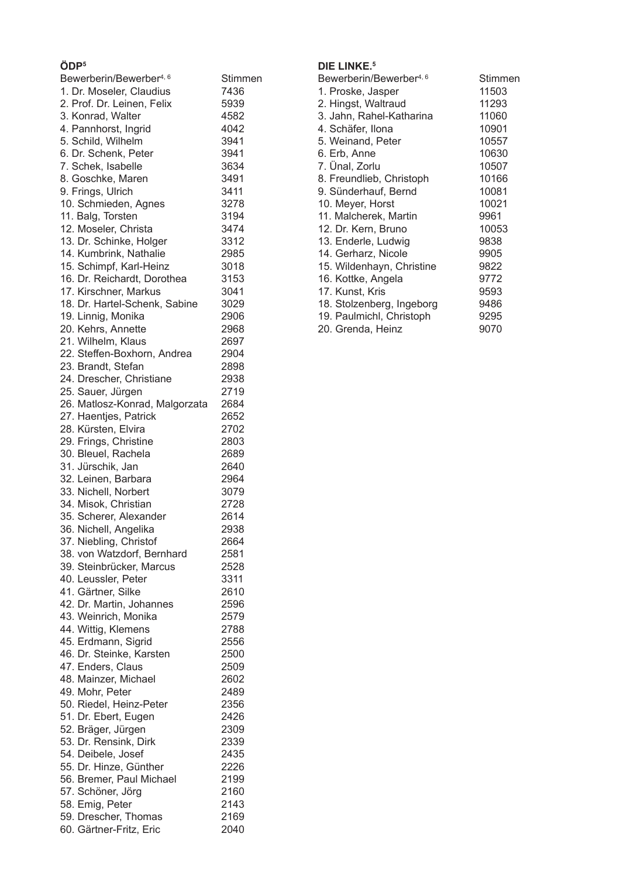## ÖDP<sup>5</sup>

| Bewerberin/Bewerber <sup>4, 6</sup>      | Stimmen      |
|------------------------------------------|--------------|
| 1. Dr. Moseler, Claudius                 | 7436         |
| 2. Prof. Dr. Leinen, Felix               | 5939         |
| 3. Konrad, Walter                        | 4582         |
| 4. Pannhorst, Ingrid                     | 4042         |
| 5. Schild, Wilhelm                       | 3941         |
| 6. Dr. Schenk, Peter                     | 3941         |
| 7. Schek, Isabelle                       | 3634         |
| 8. Goschke, Maren                        | 3491         |
| 9. Frings, Ulrich                        | 3411         |
| 10. Schmieden, Agnes                     | 3278         |
| 11. Balg, Torsten                        | 3194         |
| 12. Moseler, Christa                     | 3474         |
| 13. Dr. Schinke, Holger                  | 3312         |
| 14. Kumbrink, Nathalie                   | 2985         |
| 15. Schimpf, Karl-Heinz                  | 3018         |
| 16. Dr. Reichardt, Dorothea              | 3153         |
| 17. Kirschner, Markus                    | 3041         |
| 18. Dr. Hartel-Schenk, Sabine            | 3029         |
| 19. Linnig, Monika<br>20. Kehrs, Annette | 2906<br>2968 |
| 21. Wilhelm, Klaus                       | 2697         |
| 22. Steffen-Boxhorn, Andrea              | 2904         |
| 23. Brandt, Stefan                       | 2898         |
| 24. Drescher, Christiane                 | 2938         |
| 25. Sauer, Jürgen                        | 2719         |
| 26. Matlosz-Konrad, Malgorzata           | 2684         |
| 27. Haentjes, Patrick                    | 2652         |
| 28. Kürsten, Elvira                      | 2702         |
| 29. Frings, Christine                    | 2803         |
| 30. Bleuel, Rachela                      | 2689         |
| 31. Jürschik, Jan                        | 2640         |
| 32. Leinen, Barbara                      | 2964         |
| 33. Nichell, Norbert                     | 3079         |
| 34. Misok, Christian                     | 2728         |
| 35. Scherer, Alexander                   | 2614         |
| 36. Nichell, Angelika                    | 2938         |
| 37. Niebling, Christof                   | 2664         |
| 38. von Watzdorf, Bernhard               | 2581         |
| 39. Steinbrücker, Marcus                 | 2528         |
| 40. Leussler, Peter                      | 3311         |
| 41. Gärtner, Silke                       | 2610         |
| 42. Dr. Martin, Johannes                 | 2596         |
| 43. Weinrich, Monika                     | 2579         |
| 44. Wittig, Klemens                      | 2788         |
| 45. Erdmann, Sigrid                      | 2556         |
| 46. Dr. Steinke, Karsten                 | 2500         |
| 47. Enders, Claus                        | 2509         |
| 48. Mainzer, Michael                     | 2602         |
| 49. Mohr, Peter                          | 2489         |
| 50. Riedel, Heinz-Peter                  | 2356         |
| 51. Dr. Ebert, Eugen                     | 2426         |
| 52. Bräger, Jürgen                       | 2309         |
| 53. Dr. Rensink, Dirk                    | 2339         |
| 54. Deibele, Josef                       | 2435         |
| 55. Dr. Hinze, Günther                   | 2226         |
| 56. Bremer, Paul Michael                 | 2199         |
| 57. Schöner, Jörg                        | 2160         |
| 58. Emig, Peter                          | 2143         |
| 59. Drescher, Thomas                     | 2169         |
| 60. Gärtner-Fritz, Eric                  | 2040         |

## DIE LINKE.<sup>5</sup>

| Bewerberin/Bewerber <sup>4, 6</sup> | Stimmen |
|-------------------------------------|---------|
| 1. Proske, Jasper                   | 11503   |
| 2. Hingst, Waltraud                 | 11293   |
| 3. Jahn, Rahel-Katharina            | 11060   |
| 4. Schäfer, Ilona                   | 10901   |
| 5. Weinand, Peter                   | 10557   |
| 6. Erb, Anne                        | 10630   |
| 7. Unal, Zorlu                      | 10507   |
| 8. Freundlieb, Christoph            | 10166   |
| 9. Sünderhauf, Bernd                | 10081   |
| 10. Meyer, Horst                    | 10021   |
| 11. Malcherek, Martin               | 9961    |
| 12. Dr. Kern, Bruno                 | 10053   |
| 13. Enderle, Ludwig                 | 9838    |
| 14. Gerharz, Nicole                 | 9905    |
| 15. Wildenhayn, Christine           | 9822    |
| 16. Kottke, Angela                  | 9772    |
| 17. Kunst, Kris                     | 9593    |
| 18. Stolzenberg, Ingeborg           | 9486    |
| 19. Paulmichl, Christoph            | 9295    |
| 20. Grenda, Heinz                   | 9070    |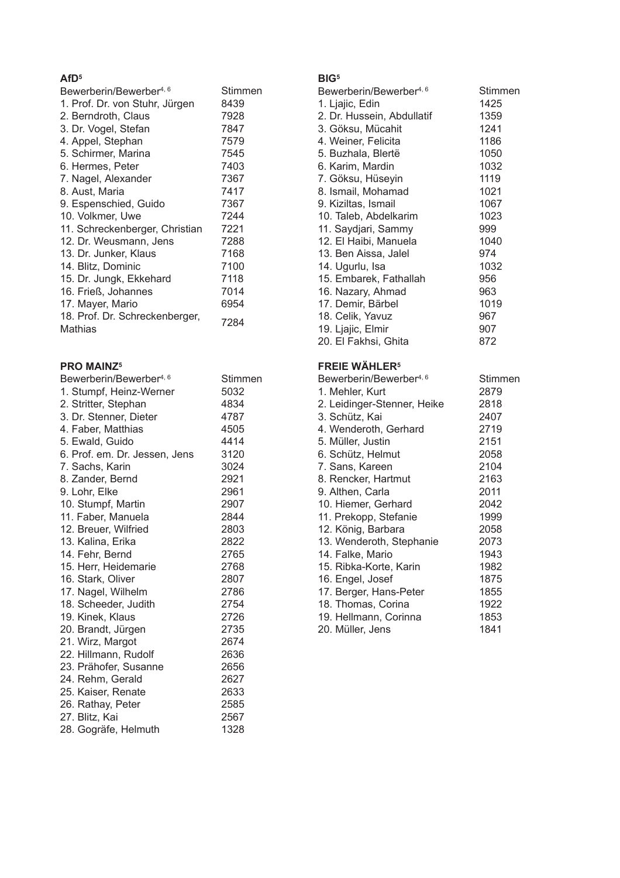## AfD<sup>5</sup>

| Bewerberin/Bewerber <sup>4, 6</sup>       | Stimmen |
|-------------------------------------------|---------|
| 1. Prof. Dr. von Stuhr, Jürgen            | 8439    |
| 2. Berndroth, Claus                       | 7928    |
| 3. Dr. Vogel, Stefan                      | 7847    |
| 4. Appel, Stephan                         | 7579    |
| 5. Schirmer, Marina                       | 7545    |
| 6. Hermes, Peter                          | 7403    |
| 7. Nagel, Alexander                       | 7367    |
| 8. Aust, Maria                            | 7417    |
| 9. Espenschied, Guido                     | 7367    |
| 10. Volkmer, Uwe                          | 7244    |
| 11. Schreckenberger, Christian            | 7221    |
| 12. Dr. Weusmann, Jens                    | 7288    |
| 13. Dr. Junker, Klaus                     | 7168    |
| 14. Blitz, Dominic                        | 7100    |
| 15. Dr. Jungk, Ekkehard                   | 7118    |
| 16. Frieß, Johannes                       | 7014    |
| 17. Mayer, Mario                          | 6954    |
| 18. Prof. Dr. Schreckenberger,<br>Mathias | 7284    |

## **PRO MAINZ5**

| Bewerberin/Bewerber <sup>4, 6</sup> | Stimmen |
|-------------------------------------|---------|
| 1. Stumpf, Heinz-Werner             | 5032    |
| 2. Stritter, Stephan                | 4834    |
| 3. Dr. Stenner, Dieter              | 4787    |
| 4. Faber, Matthias                  | 4505    |
| 5. Ewald, Guido                     | 4414    |
| 6. Prof. em. Dr. Jessen, Jens       | 3120    |
| 7. Sachs, Karin                     | 3024    |
| 8. Zander, Bernd                    | 2921    |
| 9. Lohr, Elke                       | 2961    |
| 10. Stumpf, Martin                  | 2907    |
| 11. Faber, Manuela                  | 2844    |
| 12. Breuer, Wilfried                | 2803    |
| 13. Kalina, Erika                   | 2822    |
| 14. Fehr, Bernd                     | 2765    |
| 15. Herr, Heidemarie                | 2768    |
| 16. Stark, Oliver                   | 2807    |
| 17. Nagel, Wilhelm                  | 2786    |
| 18. Scheeder, Judith                | 2754    |
| 19. Kinek, Klaus                    | 2726    |
| 20. Brandt, Jürgen                  | 2735    |
| 21. Wirz, Margot                    | 2674    |
| 22. Hillmann, Rudolf                | 2636    |
| 23. Prähofer, Susanne               | 2656    |
| 24. Rehm, Gerald                    | 2627    |
| 25. Kaiser, Renate                  | 2633    |
| 26. Rathay, Peter                   | 2585    |
| 27. Blitz, Kai                      | 2567    |
| 28. Gogräfe, Helmuth                | 1328    |
|                                     |         |

## $BIG<sup>5</sup>$

| Bewerberin/Bewerber <sup>4, 6</sup> | Stimmen |
|-------------------------------------|---------|
| 1. Ljajic, Edin                     | 1425    |
| 2. Dr. Hussein, Abdullatif          | 1359    |
| 3. Göksu, Mücahit                   | 1241    |
| 4. Weiner, Felicita                 | 1186    |
| 5. Buzhala, Blertë                  | 1050    |
| 6. Karim, Mardin                    | 1032    |
| 7. Göksu, Hüseyin                   | 1119    |
| 8. Ismail, Mohamad                  | 1021    |
| 9. Kiziltas, Ismail                 | 1067    |
| 10. Taleb, Abdelkarim               | 1023    |
| 11. Saydjari, Sammy                 | 999     |
| 12. El Haibi, Manuela               | 1040    |
| 13. Ben Aissa, Jalel                | 974     |
| 14. Ugurlu, Isa                     | 1032    |
| 15. Embarek, Fathallah              | 956     |
| 16. Nazary, Ahmad                   | 963     |
| 17. Demir, Bärbel                   | 1019    |
| 18. Celik, Yavuz                    | 967     |
| 19. Ljajic, Elmir                   | 907     |
| 20. El Fakhsi, Ghita                | 872     |

## **FREIE WÄHLER<sup>5</sup>**

| Bewerberin/Bewerber <sup>4, 6</sup> | Stimmen |
|-------------------------------------|---------|
| 1. Mehler, Kurt                     | 2879    |
| 2. Leidinger-Stenner, Heike         | 2818    |
| 3. Schütz, Kai                      | 2407    |
| 4. Wenderoth, Gerhard               | 2719    |
| 5. Müller, Justin                   | 2151    |
| 6. Schütz, Helmut                   | 2058    |
| 7. Sans, Kareen                     | 2104    |
| 8. Rencker, Hartmut                 | 2163    |
| 9. Althen, Carla                    | 2011    |
| 10. Hiemer, Gerhard                 | 2042    |
| 11. Prekopp, Stefanie               | 1999    |
| 12. König, Barbara                  | 2058    |
| 13. Wenderoth, Stephanie            | 2073    |
| 14. Falke, Mario                    | 1943    |
| 15. Ribka-Korte, Karin              | 1982    |
| 16. Engel, Josef                    | 1875    |
| 17. Berger, Hans-Peter              | 1855    |
| 18. Thomas, Corina                  | 1922    |
| 19. Hellmann, Corinna               | 1853    |
| 20. Müller, Jens                    | 1841    |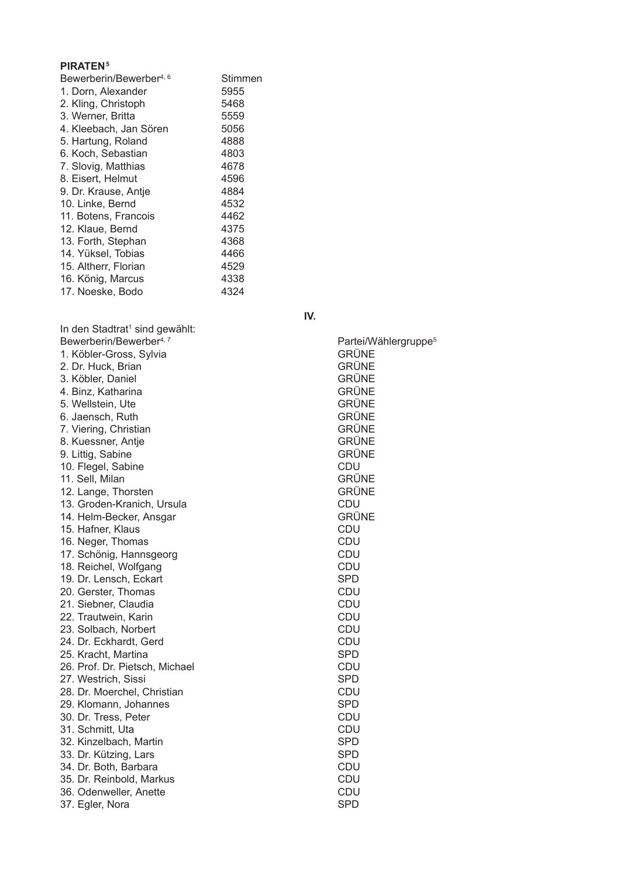#### **PIRATEN5**

| Bewerberin/Bewerber <sup>4, 6</sup> | Stimmen |
|-------------------------------------|---------|
| 1. Dorn, Alexander                  | 5955    |
| 2. Kling, Christoph                 | 5468    |
| 3. Werner, Britta                   | 5559    |
| 4. Kleebach, Jan Sören              | 5056    |
| 5. Hartung, Roland                  | 4888    |
| 6. Koch, Sebastian                  | 4803    |
| 7. Slovig, Matthias                 | 4678    |
| 8. Eisert, Helmut                   | 4596    |
| 9. Dr. Krause, Antje                | 4884    |
| 10. Linke, Bernd                    | 4532    |
| 11. Botens, Francois                | 4462    |
| 12. Klaue, Bernd                    | 4375    |
| 13. Forth, Stephan                  | 4368    |
| 14. Yüksel, Tobias                  | 4466    |
| 15. Altherr, Florian                | 4529    |
| 16. König, Marcus                   | 4338    |
| 17. Noeske, Bodo                    | 4324    |
|                                     |         |

In den Stadtrat<sup>1</sup> sind gewählt: Bewerberin/Bewerber<sup>4, 7</sup> 1. Köbler-Gross, Sylvia 2. Dr. Huck, Brian 3. Köbler, Daniel 4. Binz, Katharina 5. Wellstein, Ute 6. Jaensch, Ruth 7. Viering, Christian 8. Kuessner, Antie 9. Littig, Sabine 10. Flegel, Sabine 11. Sell, Milan 12. Lange, Thorsten 13. Groden-Kranich, Ursula 14. Helm-Becker, Ansgar 15. Hafner, Klaus 16. Neger, Thomas 17. Schönig, Hannsgeorg 18. Reichel, Wolfgang 19. Dr. Lensch. Eckart 20. Gerster, Thomas 21. Siebner, Claudia 22. Trautwein, Karin 23. Solbach, Norbert 24. Dr. Eckhardt, Gerd 25. Kracht, Martina 26. Prof. Dr. Pietsch, Michael 27. Westrich, Sissi 28. Dr. Moerchel, Christian 29. Klomann, Johannes 30. Dr. Tress, Peter 31. Schmitt, Uta 32. Kinzelbach, Martin 33. Dr. Kützing, Lars 34. Dr. Both, Barbara 35. Dr. Reinbold, Markus 36. Odenweller, Anette

37. Egler, Nora

IV.

| GRÜNE             | Partei/Wählergruppe <sup>5</sup> |
|-------------------|----------------------------------|
| GRÜNE             |                                  |
| GRÜNE             |                                  |
| GRÜNE             |                                  |
| GRÜNE             |                                  |
| GRÜNE             |                                  |
| GRÜNE             |                                  |
| GRÜNE             |                                  |
| GRÜNE             |                                  |
| CDU               |                                  |
| GRÜNE             |                                  |
| GRÜNE             |                                  |
| CDU               |                                  |
| GRÜNE<br>CDU      |                                  |
| CDU               |                                  |
| CDU               |                                  |
| CDU               |                                  |
| <b>SPD</b>        |                                  |
| CDU               |                                  |
| CDU               |                                  |
| CDU               |                                  |
| CDU               |                                  |
| CDU               |                                  |
| <b>SPD</b>        |                                  |
| CDU               |                                  |
| <b>SPD</b>        |                                  |
| CDU<br><b>SPD</b> |                                  |
| CDU               |                                  |
| CDU               |                                  |
| SPD               |                                  |
| <b>SPD</b>        |                                  |
| CDU               |                                  |
| CDU               |                                  |
| CDU               |                                  |

SPD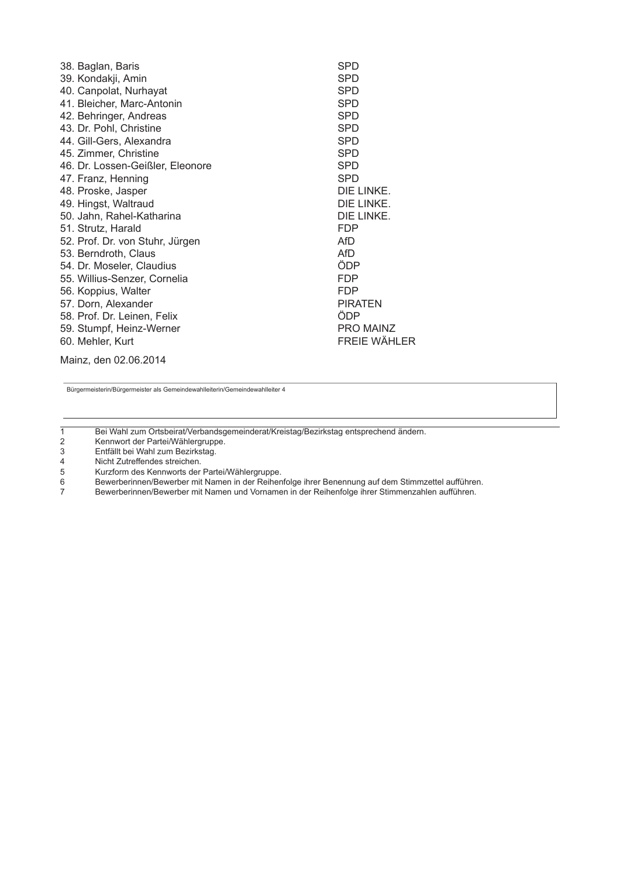| 38. Baglan, Baris                | <b>SPD</b>          |
|----------------------------------|---------------------|
| 39. Kondakji, Amin               | <b>SPD</b>          |
| 40. Canpolat, Nurhayat           | <b>SPD</b>          |
| 41. Bleicher, Marc-Antonin       | <b>SPD</b>          |
| 42. Behringer, Andreas           | <b>SPD</b>          |
| 43. Dr. Pohl, Christine          | <b>SPD</b>          |
| 44. Gill-Gers, Alexandra         | <b>SPD</b>          |
| 45. Zimmer, Christine            | <b>SPD</b>          |
| 46. Dr. Lossen-Geißler, Eleonore | <b>SPD</b>          |
| 47. Franz, Henning               | <b>SPD</b>          |
| 48. Proske, Jasper               | DIE LINKE.          |
| 49. Hingst, Waltraud             | DIE LINKE.          |
| 50. Jahn, Rahel-Katharina        | DIE LINKE.          |
| 51. Strutz, Harald               | <b>FDP</b>          |
| 52. Prof. Dr. von Stuhr, Jürgen  | AfD                 |
| 53. Berndroth, Claus             | AfD                 |
| 54. Dr. Moseler, Claudius        | ÖDP                 |
| 55. Willius-Senzer, Cornelia     | <b>FDP</b>          |
| 56. Koppius, Walter              | <b>FDP</b>          |
| 57. Dorn, Alexander              | <b>PIRATEN</b>      |
| 58. Prof. Dr. Leinen, Felix      | ÖDP                 |
| 59. Stumpf, Heinz-Werner         | PRO MAINZ           |
| 60. Mehler, Kurt                 | <b>FREIE WÄHLER</b> |
|                                  |                     |

Mainz, den 02.06.2014

Bürgermeisterin/Bürgermeister als Gemeindewahlleiterin/Gemeindewahlleiter 4

 $\overline{1}$ Bei Wahl zum Ortsbeirat/Verbandsgemeinderat/Kreistag/Bezirkstag entsprechend ändern.

Kennwort der Partei/Wählergruppe.  $\overline{2}$ 

Entfällt bei Wahl zum Bezirkstag.  $\sqrt{3}$ 

 $\overline{\mathbf{4}}$ Nicht Zutreffendes streichen.

Kurzform des Kennworts der Partei/Wählergruppe.  $\sqrt{5}$ 

Bewerberinnen/Bewerber mit Namen in der Reihenfolge ihrer Benennung auf dem Stimmzettel aufführen.  $\,6\,$ 

 $\overline{7}$ Bewerberinnen/Bewerber mit Namen und Vornamen in der Reihenfolge ihrer Stimmenzahlen aufführen.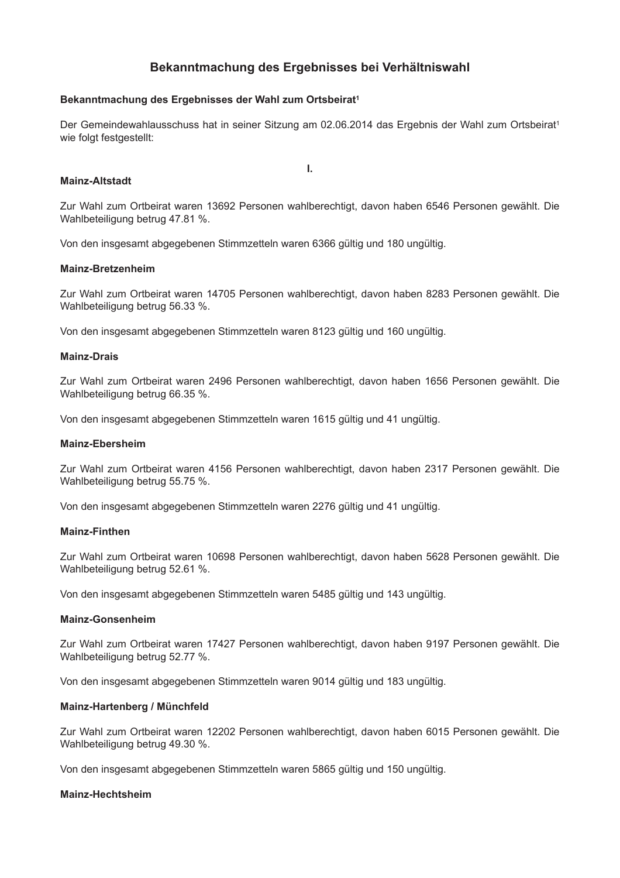## Bekanntmachung des Ergebnisses bei Verhältniswahl

#### Bekanntmachung des Ergebnisses der Wahl zum Ortsbeirat<sup>1</sup>

Der Gemeindewahlausschuss hat in seiner Sitzung am 02.06.2014 das Ergebnis der Wahl zum Ortsbeirat<sup>1</sup> wie folgt festgestellt:

Ī.

#### **Mainz-Altstadt**

Zur Wahl zum Ortbeirat waren 13692 Personen wahlberechtigt, davon haben 6546 Personen gewählt. Die Wahlbeteiligung betrug 47.81 %.

Von den insgesamt abgegebenen Stimmzetteln waren 6366 gültig und 180 ungültig.

#### **Mainz-Bretzenheim**

Zur Wahl zum Ortbeirat waren 14705 Personen wahlberechtigt, davon haben 8283 Personen gewählt. Die Wahlbeteiligung betrug 56.33 %.

Von den insgesamt abgegebenen Stimmzetteln waren 8123 gültig und 160 ungültig.

#### **Mainz-Drais**

Zur Wahl zum Ortbeirat waren 2496 Personen wahlberechtigt, davon haben 1656 Personen gewählt. Die Wahlbeteiligung betrug 66.35 %.

Von den insgesamt abgegebenen Stimmzetteln waren 1615 gültig und 41 ungültig.

#### **Mainz-Ebersheim**

Zur Wahl zum Ortbeirat waren 4156 Personen wahlberechtigt, davon haben 2317 Personen gewählt. Die Wahlbeteiligung betrug 55.75 %.

Von den insgesamt abgegebenen Stimmzetteln waren 2276 gültig und 41 ungültig.

#### **Mainz-Finthen**

Zur Wahl zum Ortbeirat waren 10698 Personen wahlberechtigt, davon haben 5628 Personen gewählt. Die Wahlbeteiligung betrug 52.61 %.

Von den insgesamt abgegebenen Stimmzetteln waren 5485 gültig und 143 ungültig.

#### **Mainz-Gonsenheim**

Zur Wahl zum Ortbeirat waren 17427 Personen wahlberechtigt, davon haben 9197 Personen gewählt. Die Wahlbeteiligung betrug 52.77 %.

Von den insgesamt abgegebenen Stimmzetteln waren 9014 gültig und 183 ungültig.

#### Mainz-Hartenberg / Münchfeld

Zur Wahl zum Ortbeirat waren 12202 Personen wahlberechtigt, davon haben 6015 Personen gewählt. Die Wahlbeteiligung betrug 49.30 %.

Von den insgesamt abgegebenen Stimmzetteln waren 5865 gültig und 150 ungültig.

#### **Mainz-Hechtsheim**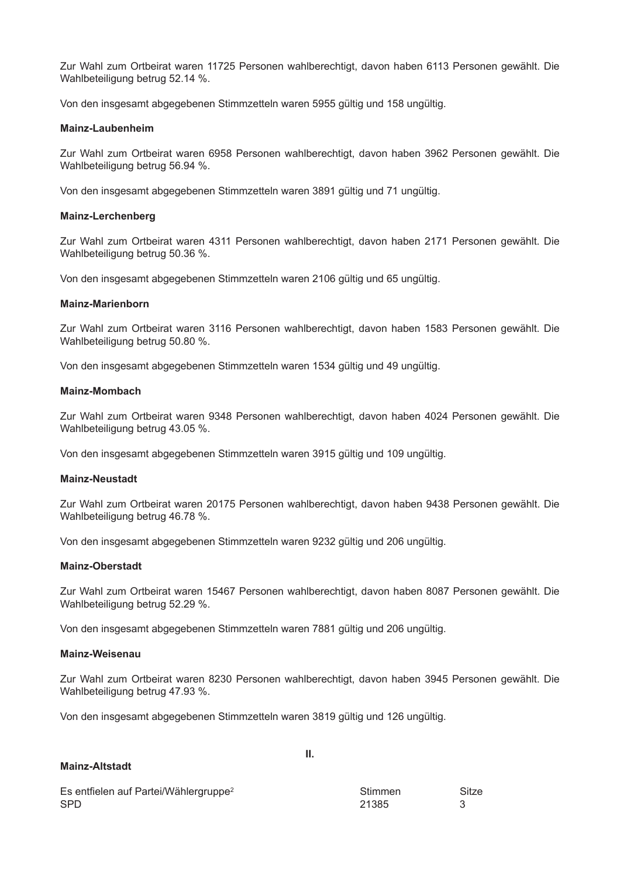Zur Wahl zum Ortbeirat waren 11725 Personen wahlberechtigt, davon haben 6113 Personen gewählt. Die Wahlbeteiligung betrug 52.14 %.

Von den insgesamt abgegebenen Stimmzetteln waren 5955 gültig und 158 ungültig.

#### Mainz-Laubenheim

Zur Wahl zum Ortbeirat waren 6958 Personen wahlberechtigt, davon haben 3962 Personen gewählt. Die Wahlbeteiligung betrug 56.94 %.

Von den insgesamt abgegebenen Stimmzetteln waren 3891 gültig und 71 ungültig.

#### **Mainz-Lerchenberg**

Zur Wahl zum Ortbeirat waren 4311 Personen wahlberechtigt, davon haben 2171 Personen gewählt. Die Wahlbeteiligung betrug 50.36 %.

Von den insgesamt abgegebenen Stimmzetteln waren 2106 gültig und 65 ungültig.

#### **Mainz-Marienborn**

Zur Wahl zum Ortbeirat waren 3116 Personen wahlberechtigt, davon haben 1583 Personen gewählt. Die Wahlbeteiligung betrug 50.80 %.

Von den insgesamt abgegebenen Stimmzetteln waren 1534 gültig und 49 ungültig.

#### **Mainz-Mombach**

Zur Wahl zum Ortbeirat waren 9348 Personen wahlberechtigt, davon haben 4024 Personen gewählt. Die Wahlbeteiligung betrug 43.05 %.

Von den insgesamt abgegebenen Stimmzetteln waren 3915 gültig und 109 ungültig.

#### **Mainz-Neustadt**

Zur Wahl zum Ortbeirat waren 20175 Personen wahlberechtigt, davon haben 9438 Personen gewählt. Die Wahlbeteiligung betrug 46.78 %.

Von den insgesamt abgegebenen Stimmzetteln waren 9232 gültig und 206 ungültig.

#### **Mainz-Oberstadt**

Zur Wahl zum Ortbeirat waren 15467 Personen wahlberechtigt, davon haben 8087 Personen gewählt. Die Wahlbeteiligung betrug 52.29 %.

Von den insgesamt abgegebenen Stimmzetteln waren 7881 gültig und 206 ungültig.

#### Mainz-Weisenau

Zur Wahl zum Ortbeirat waren 8230 Personen wahlberechtigt, davon haben 3945 Personen gewählt. Die Wahlbeteiligung betrug 47.93 %.

Von den insgesamt abgegebenen Stimmzetteln waren 3819 gültig und 126 ungültig.

| <b>Mainz-Altstadt</b>                             |         |       |
|---------------------------------------------------|---------|-------|
| Es entfielen auf Partei/Wählergruppe <sup>2</sup> | Stimmen | Sitze |
| SPD.                                              | 21385   | 3     |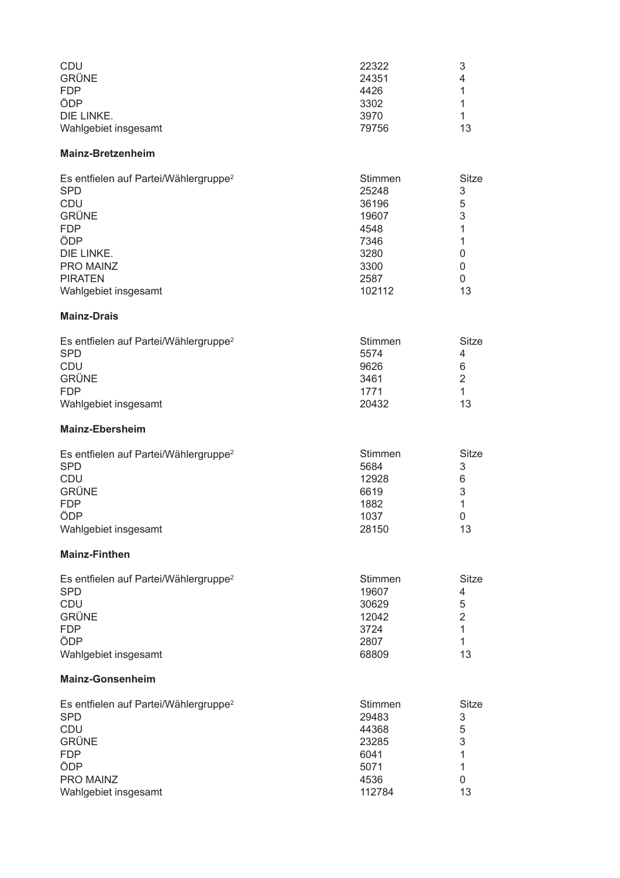| <b>CDU</b>           | 22322 | 3  |
|----------------------|-------|----|
| <b>GRÜNE</b>         | 24351 | 4  |
| <b>FDP</b>           | 4426  |    |
| ÖDP                  | 3302  |    |
| DIE LINKE.           | 3970  |    |
| Wahlgebiet insgesamt | 79756 | 13 |

#### Mainz-Bretzenheim

| Es entfielen auf Partei/Wählergruppe <sup>2</sup> | Stimmen | Sitze |
|---------------------------------------------------|---------|-------|
| <b>SPD</b>                                        | 25248   | 3     |
| <b>CDU</b>                                        | 36196   | 5     |
| <b>GRÜNE</b>                                      | 19607   | 3     |
| <b>FDP</b>                                        | 4548    |       |
| ÖDP                                               | 7346    |       |
| DIE LINKE.                                        | 3280    |       |
| <b>PRO MAINZ</b>                                  | 3300    |       |
| <b>PIRATEN</b>                                    | 2587    | 0     |
| Wahlgebiet insgesamt                              | 102112  | 13    |

## **Mainz-Drais**

| Es entfielen auf Partei/Wählergruppe <sup>2</sup> | Stimmen | Sitze |
|---------------------------------------------------|---------|-------|
| <b>SPD</b>                                        | 5574    | 4     |
| CDU                                               | 9626    | 6     |
| <b>GRÜNE</b>                                      | 3461    | 2     |
| <b>FDP</b>                                        | 1771    |       |
| Wahlgebiet insgesamt                              | 20432   | 13    |

## Mainz-Ebersheim

| Es entfielen auf Partei/Wählergruppe <sup>2</sup> | Stimmen | Sitze |
|---------------------------------------------------|---------|-------|
| <b>SPD</b>                                        | 5684    | 3     |
| <b>CDU</b>                                        | 12928   | 6     |
| <b>GRÜNE</b>                                      | 6619    | 3     |
| <b>FDP</b>                                        | 1882    |       |
| ÖDP                                               | 1037    | 0     |
| Wahlgebiet insgesamt                              | 28150   | 13    |

## **Mainz-Finthen**

| Es entfielen auf Partei/Wählergruppe <sup>2</sup> | <b>Stimmen</b> | Sitze |
|---------------------------------------------------|----------------|-------|
| <b>SPD</b>                                        | 19607          | 4     |
| <b>CDU</b>                                        | 30629          | 5     |
| <b>GRÜNE</b>                                      | 12042          | 2     |
| <b>FDP</b>                                        | 3724           |       |
| ÖDP                                               | 2807           |       |
| Wahlgebiet insgesamt                              | 68809          | 13    |

## **Mainz-Gonsenheim**

| Es entfielen auf Partei/Wählergruppe <sup>2</sup> | Stimmen | Sitze |
|---------------------------------------------------|---------|-------|
| <b>SPD</b>                                        | 29483   | 3     |
| <b>CDU</b>                                        | 44368   | 5     |
| <b>GRÜNE</b>                                      | 23285   | 3     |
| <b>FDP</b>                                        | 6041    |       |
| ÖDP                                               | 5071    |       |
| <b>PRO MAINZ</b>                                  | 4536    | 0     |
| Wahlgebiet insgesamt                              | 112784  | 13    |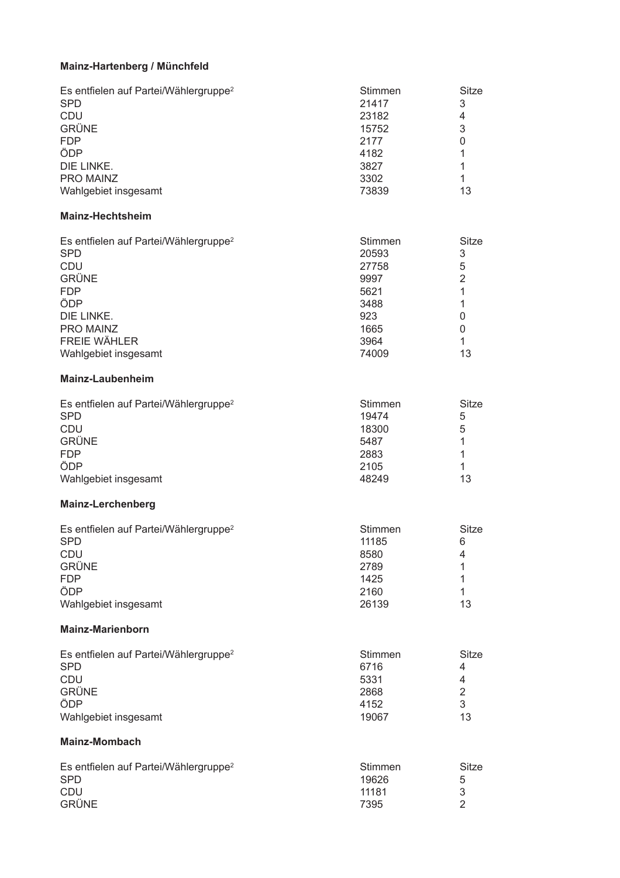#### Mainz-Hartenberg / Münchfeld

| Es entfielen auf Partei/Wählergruppe <sup>2</sup> | Stimmen | Sitze |
|---------------------------------------------------|---------|-------|
| <b>SPD</b>                                        | 21417   | 3     |
| <b>CDU</b>                                        | 23182   | 4     |
| <b>GRÜNE</b>                                      | 15752   | 3     |
| <b>FDP</b>                                        | 2177    | 0     |
| ÖDP                                               | 4182    |       |
| DIE LINKE.                                        | 3827    |       |
| PRO MAINZ                                         | 3302    |       |
| Wahlgebiet insgesamt                              | 73839   | 13    |

## Mainz-Hechtsheim

| Es entfielen auf Partei/Wählergruppe <sup>2</sup> | Stimmen | Sitze |
|---------------------------------------------------|---------|-------|
| <b>SPD</b>                                        | 20593   | 3     |
| <b>CDU</b>                                        | 27758   | 5     |
| <b>GRÜNE</b>                                      | 9997    | 2     |
| <b>FDP</b>                                        | 5621    |       |
| ÖDP                                               | 3488    |       |
| DIE LINKE.                                        | 923     | 0     |
| PRO MAINZ                                         | 1665    | 0     |
| <b>FREIE WÄHLER</b>                               | 3964    |       |
| Wahlgebiet insgesamt                              | 74009   | 13    |

#### Mainz-Laubenheim

| Es entfielen auf Partei/Wählergruppe <sup>2</sup> | Stimmen | Sitze |
|---------------------------------------------------|---------|-------|
| <b>SPD</b>                                        | 19474   | 5     |
| CDU                                               | 18300   | 5     |
| <b>GRÜNE</b>                                      | 5487    |       |
| <b>FDP</b>                                        | 2883    |       |
| ÖDP                                               | 2105    |       |
| Wahlgebiet insgesamt                              | 48249   | 13    |

#### Mainz-Lerchenberg

| Es entfielen auf Partei/Wählergruppe <sup>2</sup> | <b>Stimmen</b> | Sitze |
|---------------------------------------------------|----------------|-------|
| <b>SPD</b>                                        | 11185          | 6     |
| <b>CDU</b>                                        | 8580           | 4     |
| <b>GRÜNE</b>                                      | 2789           |       |
| <b>FDP</b>                                        | 1425           |       |
| ÖDP                                               | 2160           |       |
| Wahlgebiet insgesamt                              | 26139          | 13    |

#### **Mainz-Marienborn**

| Es entfielen auf Partei/Wählergruppe <sup>2</sup> | Stimmen | Sitze |
|---------------------------------------------------|---------|-------|
| <b>SPD</b>                                        | 6716    | 4     |
| CDU                                               | 5331    | 4     |
| <b>GRÜNE</b>                                      | 2868    |       |
| ÖDP                                               | 4152    | 3     |
| Wahlgebiet insgesamt                              | 19067   | 13    |

## **Mainz-Mombach**

| Es entfielen auf Partei/Wählergruppe <sup>2</sup><br><b>SPD</b> | Stimmen<br>19626 | Sitze<br>5 |
|-----------------------------------------------------------------|------------------|------------|
| <b>CDU</b>                                                      | 11181            | 3          |
| <b>GRÜNE</b>                                                    | 7395             |            |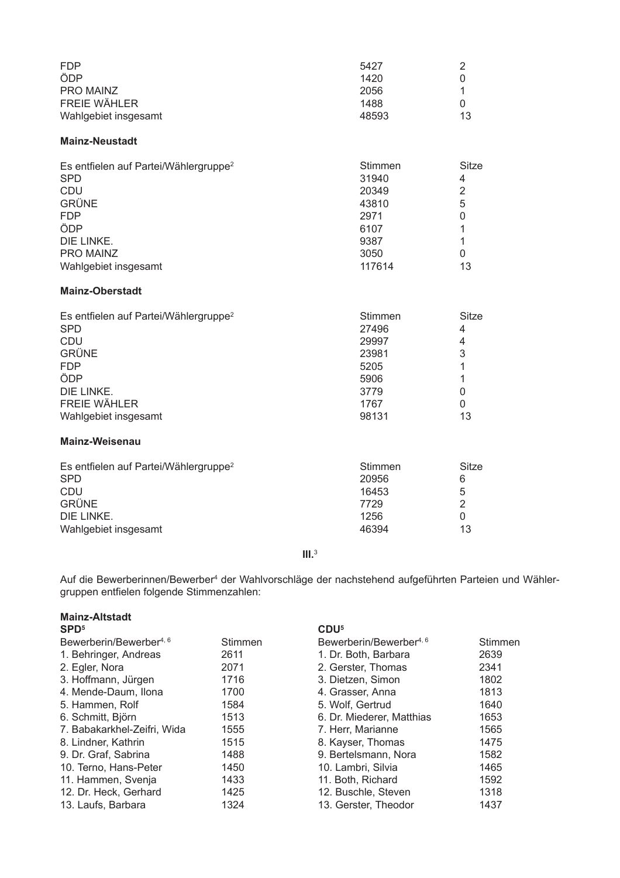| <b>FDP</b>           | 5427  |    |
|----------------------|-------|----|
| ÖDP                  | 1420  |    |
| PRO MAINZ            | 2056  |    |
| <b>FREIE WÄHLER</b>  | 1488  |    |
| Wahlgebiet insgesamt | 48593 | 13 |

#### **Mainz-Neustadt**

| Es entfielen auf Partei/Wählergruppe <sup>2</sup> | Stimmen      | Sitze |
|---------------------------------------------------|--------------|-------|
| <b>SPD</b>                                        | 31940        | 4     |
| <b>CDU</b>                                        | 20349        | 2     |
| <b>GRÜNE</b>                                      | 43810        | 5     |
| <b>FDP</b>                                        | 2971         | 0     |
| ÖDP<br>DIE LINKE.                                 | 6107<br>9387 |       |
| <b>PRO MAINZ</b>                                  | 3050         | 0     |
| Wahlgebiet insgesamt                              | 117614       | 13    |

## **Mainz-Oberstadt**

| Es entfielen auf Partei/Wählergruppe <sup>2</sup> | Stimmen | Sitze |
|---------------------------------------------------|---------|-------|
| <b>SPD</b>                                        | 27496   | 4     |
| <b>CDU</b>                                        | 29997   | 4     |
| <b>GRÜNE</b>                                      | 23981   | 3     |
| <b>FDP</b>                                        | 5205    |       |
| ÖDP                                               | 5906    |       |
| DIE LINKE.                                        | 3779    | 0     |
| <b>FREIE WÄHLER</b>                               | 1767    | 0     |
| Wahlgebiet insgesamt                              | 98131   | 13    |

## Mainz-Weisenau

| Es entfielen auf Partei/Wählergruppe <sup>2</sup> | Stimmen | Sitze |
|---------------------------------------------------|---------|-------|
| <b>SPD</b>                                        | 20956   | 6     |
| CDU                                               | 16453   | 5     |
| <b>GRÜNE</b>                                      | 7729    |       |
| DIE LINKE.                                        | 1256    |       |
| Wahlgebiet insgesamt                              | 46394   | 13    |

 $III.<sup>3</sup>$ 

Auf die Bewerberinnen/Bewerber<sup>4</sup> der Wahlvorschläge der nachstehend aufgeführten Parteien und Wähler-<br>gruppen entfielen folgende Stimmenzahlen:

| <b>Mainz-Altstadt</b><br>SPD <sup>5</sup> |                | CDU <sup>5</sup>                    |         |
|-------------------------------------------|----------------|-------------------------------------|---------|
| Bewerberin/Bewerber <sup>4, 6</sup>       | <b>Stimmen</b> | Bewerberin/Bewerber <sup>4, 6</sup> | Stimmen |
| 1. Behringer, Andreas                     | 2611           | 1. Dr. Both, Barbara                | 2639    |
| 2. Egler, Nora                            | 2071           | 2. Gerster, Thomas                  | 2341    |
| 3. Hoffmann, Jürgen                       | 1716           | 3. Dietzen, Simon                   | 1802    |
| 4. Mende-Daum, Ilona                      | 1700           | 4. Grasser, Anna                    | 1813    |
| 5. Hammen, Rolf                           | 1584           | 5. Wolf, Gertrud                    | 1640    |
| 6. Schmitt, Björn                         | 1513           | 6. Dr. Miederer, Matthias           | 1653    |
| 7. Babakarkhel-Zeifri, Wida               | 1555           | 7. Herr, Marianne                   | 1565    |
| 8. Lindner, Kathrin                       | 1515           | 8. Kayser, Thomas                   | 1475    |
| 9. Dr. Graf, Sabrina                      | 1488           | 9. Bertelsmann, Nora                | 1582    |
| 10. Terno, Hans-Peter                     | 1450           | 10. Lambri, Silvia                  | 1465    |
| 11. Hammen, Svenja                        | 1433           | 11. Both, Richard                   | 1592    |
| 12. Dr. Heck, Gerhard                     | 1425           | 12. Buschle, Steven                 | 1318    |
| 13. Laufs, Barbara                        | 1324           | 13. Gerster, Theodor                | 1437    |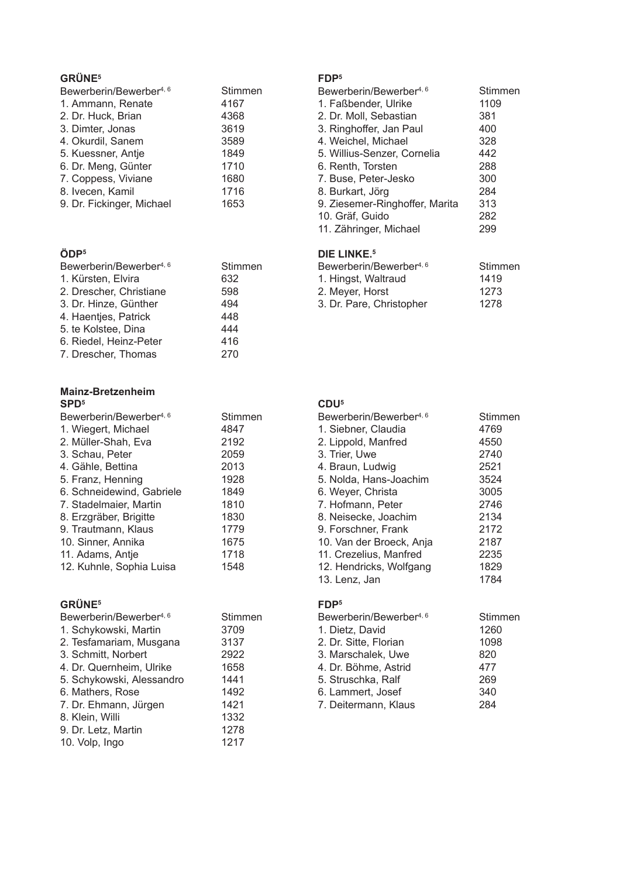## **GRÜNE<sup>5</sup>**

| Bewerberin/Bewerber <sup>4, 6</sup> | Stimmen |
|-------------------------------------|---------|
| 1. Ammann, Renate                   | 4167    |
| 2. Dr. Huck, Brian                  | 4368    |
| 3. Dimter, Jonas                    | 3619    |
| 4. Okurdil, Sanem                   | 3589    |
| 5. Kuessner, Antje                  | 1849    |
| 6. Dr. Meng, Günter                 | 1710    |
| 7. Coppess, Viviane                 | 1680    |
| 8. Ivecen, Kamil                    | 1716    |
| 9. Dr. Fickinger, Michael           | 1653    |
|                                     |         |

## ÖDP<sup>5</sup>

| Bewerberin/Bewerber <sup>4, 6</sup> | Stimmen |
|-------------------------------------|---------|
| 1. Kürsten, Elvira                  | 632     |
| 2. Drescher, Christiane             | 598     |
| 3. Dr. Hinze, Günther               | 494     |
| 4. Haentjes, Patrick                | 448     |
| 5. te Kolstee, Dina                 | 444     |
| 6. Riedel, Heinz-Peter              | 416     |
| 7. Drescher, Thomas                 | 270     |

#### Mainz-Bretzenheim  $SPD<sup>5</sup>$

| Bewerberin/Bewerber <sup>4, 6</sup> | Stimmen |
|-------------------------------------|---------|
| 1. Wiegert, Michael                 | 4847    |
| 2. Müller-Shah, Eva                 | 2192    |
| 3. Schau, Peter                     | 2059    |
| 4. Gähle, Bettina                   | 2013    |
| 5. Franz, Henning                   | 1928    |
| 6. Schneidewind, Gabriele           | 1849    |
| 7. Stadelmaier, Martin              | 1810    |
| 8. Erzgräber, Brigitte              | 1830    |
| 9. Trautmann, Klaus                 | 1779    |
| 10. Sinner, Annika                  | 1675    |
| 11. Adams, Antje                    | 1718    |
| 12. Kuhnle, Sophia Luisa            | 1548    |

| <b>GRÜNE<sup>5</sup></b>            |         |
|-------------------------------------|---------|
| Bewerberin/Bewerber <sup>4, 6</sup> | Stimmen |
| 1. Schykowski, Martin               | 3709    |
| 2. Tesfamariam, Musgana             | 3137    |
| 3. Schmitt, Norbert                 | 2922    |
| 4. Dr. Quernheim, Ulrike            | 1658    |
| 5. Schykowski, Alessandro           | 1441    |
| 6. Mathers, Rose                    | 1492    |
| 7. Dr. Ehmann, Jürgen               | 1421    |
| 8. Klein, Willi                     | 1332    |
| 9. Dr. Letz, Martin                 | 1278    |
| 10. Volp, Ingo                      | 1217    |

## FDP<sup>5</sup>

| Bewerberin/Bewerber <sup>4, 6</sup> | Stimmen |
|-------------------------------------|---------|
| 1. Faßbender, Ulrike                | 1109    |
| 2. Dr. Moll, Sebastian              | 381     |
| 3. Ringhoffer, Jan Paul             | 400     |
| 4. Weichel, Michael                 | 328     |
| 5. Willius-Senzer, Cornelia         | 442     |
| 6. Renth, Torsten                   | 288     |
| 7. Buse, Peter-Jesko                | 300     |
| 8. Burkart, Jörg                    | 284     |
| 9. Ziesemer-Ringhoffer, Marita      | 313     |
| 10. Gräf, Guido                     | 282     |
| 11. Zähringer, Michael              |         |
|                                     |         |

## DIE LINKE.<sup>5</sup>

| Bewerberin/Bewerber <sup>4, 6</sup> | Stimmen |
|-------------------------------------|---------|
| 1. Hingst, Waltraud                 | 1419    |
| 2. Meyer, Horst                     | 1273    |
| 3. Dr. Pare, Christopher            | 1278    |
|                                     |         |

## $CDU<sup>5</sup>$

| Bewerberin/Bewerber <sup>4, 6</sup> | Stimmen |
|-------------------------------------|---------|
| 1. Siebner, Claudia                 | 4769    |
| 2. Lippold, Manfred                 | 4550    |
| 3. Trier, Uwe                       | 2740    |
| 4. Braun, Ludwig                    | 2521    |
| 5. Nolda, Hans-Joachim              | 3524    |
| 6. Weyer, Christa                   | 3005    |
| 7. Hofmann, Peter                   | 2746    |
| 8. Neisecke, Joachim                | 2134    |
| 9. Forschner, Frank                 | 2172    |
| 10. Van der Broeck, Anja            | 2187    |
| 11. Crezelius, Manfred              | 2235    |
| 12. Hendricks, Wolfgang             | 1829    |
| 13. Lenz, Jan                       | 1784    |

## FDP<sup>5</sup>

| Bewerberin/Bewerber <sup>4, 6</sup> | Stimmen |
|-------------------------------------|---------|
| 1. Dietz, David                     | 1260    |
| 2. Dr. Sitte, Florian               | 1098    |
| 3. Marschalek, Uwe                  | 820     |
| 4. Dr. Böhme, Astrid                | 477     |
| 5. Struschka, Ralf                  | 269     |
| 6. Lammert, Josef                   | 340     |
| 7. Deitermann, Klaus                | 284     |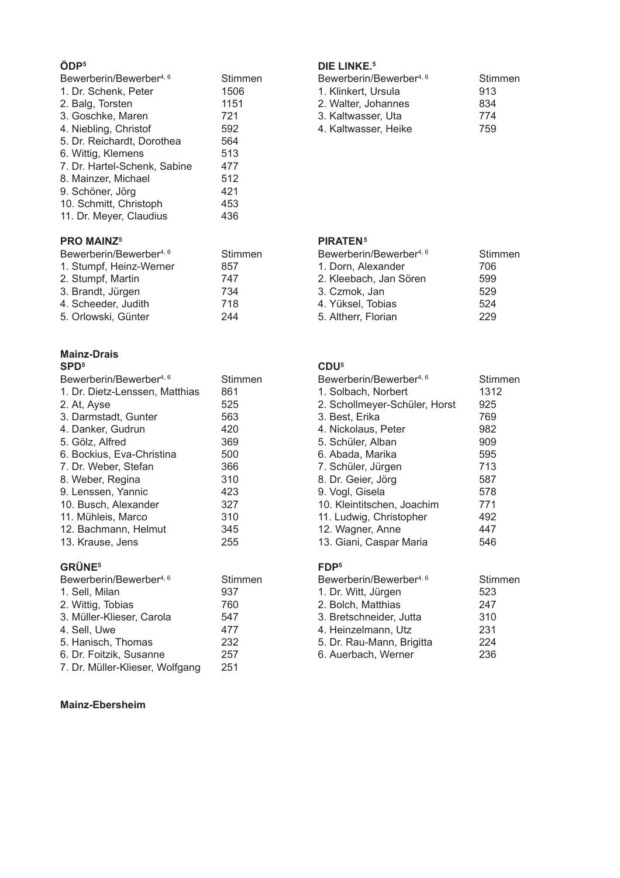## ÖDP<sup>5</sup>

| Bewerberin/Bewerber <sup>4, 6</sup> | Stimmen |
|-------------------------------------|---------|
| 1. Dr. Schenk, Peter                | 1506    |
| 2. Balg, Torsten                    | 1151    |
| 3. Goschke, Maren                   | 721     |
| 4. Niebling, Christof               | 592     |
| 5. Dr. Reichardt, Dorothea          | 564     |
| 6. Wittig, Klemens                  | 513     |
| 7. Dr. Hartel-Schenk, Sabine        | 477     |
| 8. Mainzer, Michael                 | 512     |
| 9. Schöner, Jörg                    | 421     |
| 10. Schmitt, Christoph              | 453     |
| 11. Dr. Meyer, Claudius             | 436     |

## **PRO MAINZ5**

| Bewerberin/Bewerber <sup>4, 6</sup> | Stimmen |
|-------------------------------------|---------|
| 1. Stumpf, Heinz-Werner             | 857     |
| 2. Stumpf, Martin                   | 747     |
| 3. Brandt, Jürgen                   | 734     |
| 4. Scheeder, Judith                 | 718     |
| 5. Orlowski, Günter                 | 244     |

#### **Mainz-Drais**  $SPD<sup>5</sup>$

| Bewerberin/Bewerber <sup>4, 6</sup> | Stimmen |
|-------------------------------------|---------|
| 1. Dr. Dietz-Lenssen, Matthias      | 861     |
| 2. At, Ayse                         | 525     |
| 3. Darmstadt, Gunter                | 563     |
| 4. Danker, Gudrun                   | 420     |
| 5. Gölz, Alfred                     | 369     |
| 6. Bockius, Eva-Christina           | 500     |
| 7. Dr. Weber, Stefan                | 366     |
| 8. Weber, Regina                    | 310     |
| 9. Lenssen, Yannic                  | 423     |
| 10. Busch, Alexander                | 327     |
| 11. Mühleis, Marco                  | 310     |
| 12. Bachmann, Helmut                | 345     |
| 13. Krause, Jens                    | 255     |
| <b>GRÜNE<sup>5</sup></b>            |         |

| Bewerberin/Bewerber <sup>4, 6</sup> | Stimmen |
|-------------------------------------|---------|
| 1. Sell, Milan                      | 937     |
| 2. Wittig, Tobias                   | 760     |
| 3. Müller-Klieser, Carola           | 547     |
| 4. Sell, Uwe                        | 477     |
| 5. Hanisch, Thomas                  | 232     |
| 6. Dr. Foitzik, Susanne             | 257     |
| 7. Dr. Müller-Klieser, Wolfgang     | 251     |

## Mainz-Ebersheim

## DIE LINKE.<sup>5</sup>

| Bewerberin/Bewerber <sup>4, 6</sup> | Stimmen |
|-------------------------------------|---------|
| 1. Klinkert, Ursula                 | 913     |
| 2. Walter, Johannes                 | 834     |
| 3. Kaltwasser. Uta                  | 774     |
| 4. Kaltwasser. Heike                | 759     |

#### PIRATEN<sup>5</sup>

| Bewerberin/Bewerber <sup>4, 6</sup> | <b>Stimmen</b> |
|-------------------------------------|----------------|
| 1. Dorn, Alexander                  | 706            |
| 2. Kleebach, Jan Sören              | 599            |
| 3. Czmok, Jan                       | 529            |
| 4. Yüksel, Tobias                   | 524            |
| 5. Altherr, Florian                 | 229            |
|                                     |                |

## $CDU<sup>5</sup>$

| Stimmen |
|---------|
| 1312    |
| 925     |
| 769     |
| 982     |
| 909     |
| 595     |
| 713     |
| 587     |
| 578     |
| 771     |
| 492     |
| 447     |
| 546     |
|         |

## $FDP<sup>5</sup>$

| Bewerberin/Bewerber <sup>4, 6</sup> | Stimmen |
|-------------------------------------|---------|
| 1. Dr. Witt, Jürgen                 | 523     |
| 2. Bolch, Matthias                  | 247     |
| 3. Bretschneider, Jutta             | 310     |
| 4. Heinzelmann, Utz                 | 231     |
| 5. Dr. Rau-Mann, Brigitta           | 224     |
| 6. Auerbach, Werner                 | 236     |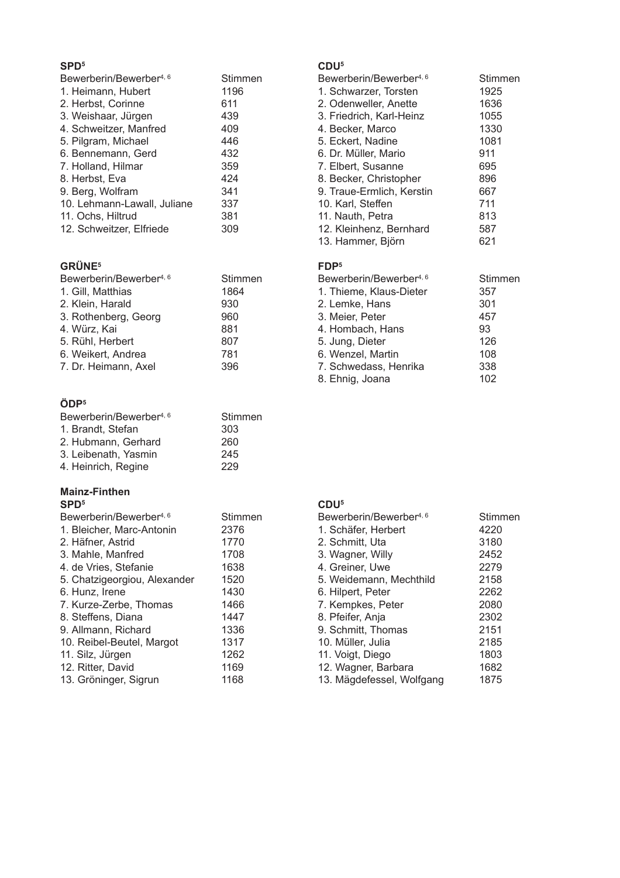| Bewerberin/Bewerber <sup>4, 6</sup> | Stimmen |
|-------------------------------------|---------|
| 1. Heimann, Hubert                  | 1196    |
| 2. Herbst, Corinne                  | 611     |
| 3. Weishaar, Jürgen                 | 439     |
| 4. Schweitzer, Manfred              | 409     |
| 5. Pilgram, Michael                 | 446     |
| 6. Bennemann, Gerd                  | 432     |
| 7. Holland, Hilmar                  | 359     |
| 8. Herbst, Eva                      | 424     |
| 9. Berg, Wolfram                    | 341     |
| 10. Lehmann-Lawall, Juliane         | 337     |
| 11. Ochs, Hiltrud                   | 381     |
| 12. Schweitzer, Elfriede            | 309     |

## **GRÜNE**<sup>5</sup>

| Bewerberin/Bewerber <sup>4, 6</sup> | Stimmen |
|-------------------------------------|---------|
| 1. Gill, Matthias                   | 1864    |
| 2. Klein, Harald                    | 930     |
| 3. Rothenberg, Georg                | 960     |
| 4. Würz, Kai                        | 881     |
| 5. Rühl, Herbert                    | 807     |
| 6. Weikert, Andrea                  | 781     |
| 7. Dr. Heimann, Axel                | 396     |
|                                     |         |

## ÖDP<sup>5</sup>

| Bewerberin/Bewerber <sup>4, 6</sup> | Stimmen |
|-------------------------------------|---------|
| 1. Brandt, Stefan                   | 303     |
| 2. Hubmann, Gerhard                 | 260     |
| 3. Leibenath, Yasmin                | 245     |
| 4. Heinrich, Regine                 | 229     |
|                                     |         |

#### **Mainz-Finthen**  $SPD<sup>5</sup>$

| Bewerberin/Bewerber <sup>4, 6</sup> | Stimmen |
|-------------------------------------|---------|
| 1. Bleicher, Marc-Antonin           | 2376    |
| 2. Häfner, Astrid                   | 1770    |
| 3. Mahle, Manfred                   | 1708    |
| 4. de Vries, Stefanie               | 1638    |
| 5. Chatzigeorgiou, Alexander        | 1520    |
| 6. Hunz, Irene                      | 1430    |
| 7. Kurze-Zerbe, Thomas              | 1466    |
| 8. Steffens, Diana                  | 1447    |
| 9. Allmann, Richard                 | 1336    |
| 10. Reibel-Beutel, Margot           | 1317    |
| 11. Silz, Jürgen                    | 1262    |
| 12. Ritter, David                   | 1169    |
| 13. Gröninger, Sigrun               | 1168    |

## $CDU<sup>5</sup>$

| Bewerberin/Bewerber <sup>4, 6</sup> | Stimmen |
|-------------------------------------|---------|
| 1. Schwarzer. Torsten               | 1925    |
| 2. Odenweller, Anette               | 1636    |
| 3. Friedrich, Karl-Heinz            | 1055    |
| 4. Becker, Marco                    | 1330    |
| 5. Eckert, Nadine                   | 1081    |
| 6. Dr. Müller. Mario                | 911     |
| 7. Elbert, Susanne                  | 695     |
| 8. Becker, Christopher              | 896     |
| 9. Traue-Ermlich, Kerstin           | 667     |
| 10. Karl, Steffen                   | 711     |
| 11. Nauth, Petra                    | 813     |
| 12. Kleinhenz, Bernhard             | 587     |
| 13. Hammer, Björn                   | 621     |
|                                     |         |

#### FDP<sup>5</sup>

| Bewerberin/Bewerber <sup>4, 6</sup> | <b>Stimmen</b> |
|-------------------------------------|----------------|
| 1. Thieme, Klaus-Dieter             | 357            |
| 2. Lemke, Hans                      | 301            |
| 3. Meier, Peter                     | 457            |
| 4. Hombach, Hans                    | 93             |
| 5. Jung, Dieter                     | 126            |
| 6. Wenzel, Martin                   | 108            |
| 7. Schwedass, Henrika               | 338            |
| 8. Ehnig, Joana                     | 102            |
|                                     |                |

#### $CDU<sup>5</sup>$

| Bewerberin/Bewerber <sup>4, 6</sup> | Stimmen |
|-------------------------------------|---------|
| 1. Schäfer, Herbert                 | 4220    |
| 2. Schmitt, Uta                     | 3180    |
| 3. Wagner, Willy                    | 2452    |
| 4. Greiner, Uwe                     | 2279    |
| 5. Weidemann, Mechthild             | 2158    |
| 6. Hilpert, Peter                   | 2262    |
| 7. Kempkes, Peter                   | 2080    |
| 8. Pfeifer, Anja                    | 2302    |
| 9. Schmitt, Thomas                  | 2151    |
| 10. Müller, Julia                   | 2185    |
| 11. Voigt, Diego                    | 1803    |
| 12. Wagner, Barbara                 | 1682    |
| 13. Mägdefessel, Wolfgang           | 1875    |
|                                     |         |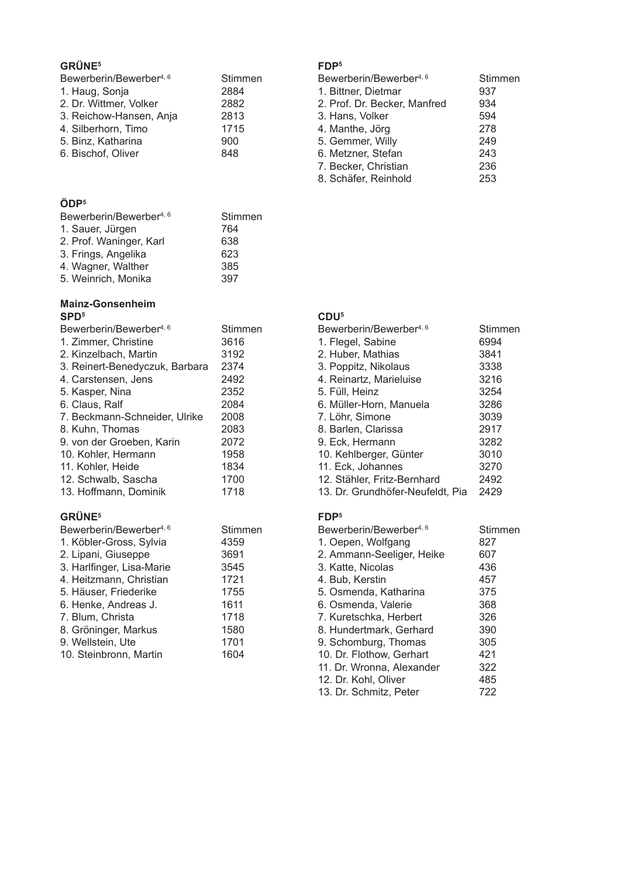## **GRÜNE<sup>5</sup>**

| Bewerberin/Bewerber <sup>4, 6</sup> | Stimmen |
|-------------------------------------|---------|
| 1. Haug, Sonja                      | 2884    |
| 2. Dr. Wittmer, Volker              | 2882    |
| 3. Reichow-Hansen, Anja             | 2813    |
| 4. Silberhorn, Timo                 | 1715    |
| 5. Binz, Katharina                  | 900     |
| 6. Bischof, Oliver                  | 848     |

## ÖDP<sup>5</sup>

| Bewerberin/Bewerber <sup>4, 6</sup> | Stimmen |
|-------------------------------------|---------|
| 1. Sauer, Jürgen                    | 764     |
| 2. Prof. Waninger, Karl             | 638     |
| 3. Frings, Angelika                 | 623     |
| 4. Wagner, Walther                  | 385     |
| 5. Weinrich, Monika                 | 397     |
|                                     |         |

#### Mainz-Gonsenheim  $SPD<sup>5</sup>$

| Bewerberin/Bewerber <sup>4, 6</sup> | Stimmen |
|-------------------------------------|---------|
| 1. Zimmer, Christine                | 3616    |
| 2. Kinzelbach, Martin               | 3192    |
| 3. Reinert-Benedyczuk, Barbara      | 2374    |
| 4. Carstensen. Jens                 | 2492    |
| 5. Kasper, Nina                     | 2352    |
| 6. Claus, Ralf                      | 2084    |
| 7. Beckmann-Schneider, Ulrike       | 2008    |
| 8. Kuhn, Thomas                     | 2083    |
| 9. von der Groeben. Karin           | 2072    |
| 10. Kohler, Hermann                 | 1958    |
| 11. Kohler, Heide                   | 1834    |
| 12. Schwalb, Sascha                 | 1700    |
| 13. Hoffmann. Dominik               | 1718    |
|                                     |         |

## GRÜNE<sup>5</sup>

| Bewerberin/Bewerber <sup>4, 6</sup> | Stimmen |
|-------------------------------------|---------|
| 1. Köbler-Gross, Sylvia             | 4359    |
| 2. Lipani, Giuseppe                 | 3691    |
| 3. Harlfinger, Lisa-Marie           | 3545    |
| 4. Heitzmann, Christian             | 1721    |
| 5. Häuser, Friederike               | 1755    |
| 6. Henke, Andreas J.                | 1611    |
| 7. Blum, Christa                    | 1718    |
| 8. Gröninger, Markus                | 1580    |
| 9. Wellstein, Ute                   | 1701    |
| 10. Steinbronn, Martin              | 1604    |
|                                     |         |

## FDP<sup>5</sup>

| Bewerberin/Bewerber <sup>4, 6</sup> | Stimmen |
|-------------------------------------|---------|
| 1. Bittner, Dietmar                 | 937     |
| 2. Prof. Dr. Becker, Manfred        | 934     |
| 3. Hans, Volker                     | 594     |
| 4. Manthe, Jörg                     | 278     |
| 5. Gemmer, Willy                    | 249     |
| 6. Metzner, Stefan                  | 243     |
| 7. Becker, Christian                | 236     |
| 8. Schäfer, Reinhold                | 253     |

## $CDU<sup>5</sup>$

| Bewerberin/Bewerber <sup>4, 6</sup> | Stimmen |
|-------------------------------------|---------|
| 1. Flegel, Sabine                   | 6994    |
| 2. Huber, Mathias                   | 3841    |
| 3. Poppitz, Nikolaus                | 3338    |
| 4. Reinartz, Marieluise             | 3216    |
| 5. Füll, Heinz                      | 3254    |
| 6. Müller-Horn, Manuela             | 3286    |
| 7. Löhr, Simone                     | 3039    |
| 8. Barlen, Clarissa                 | 2917    |
| 9. Eck, Hermann                     | 3282    |
| 10. Kehlberger, Günter              | 3010    |
| 11. Eck, Johannes                   | 3270    |
| 12. Stähler, Fritz-Bernhard         | 2492    |
| 13. Dr. Grundhöfer-Neufeldt, Pia    | 2429    |

#### FDP<sup>5</sup>

| Bewerberin/Bewerber <sup>4, 6</sup> | Stimmen |
|-------------------------------------|---------|
| 1. Oepen, Wolfgang                  | 827     |
| 2. Ammann-Seeliger, Heike           | 607     |
| 3. Katte, Nicolas                   | 436     |
| 4. Bub, Kerstin                     | 457     |
| 5. Osmenda, Katharina               | 375     |
| 6. Osmenda. Valerie                 | 368     |
| 7. Kuretschka, Herbert              | 326     |
| 8. Hundertmark, Gerhard             | 390     |
| 9. Schomburg, Thomas                | 305     |
| 10. Dr. Flothow, Gerhart            | 421     |
| 11. Dr. Wronna, Alexander           | 322     |
| 12. Dr. Kohl, Oliver                | 485     |
| 13. Dr. Schmitz, Peter              | 722     |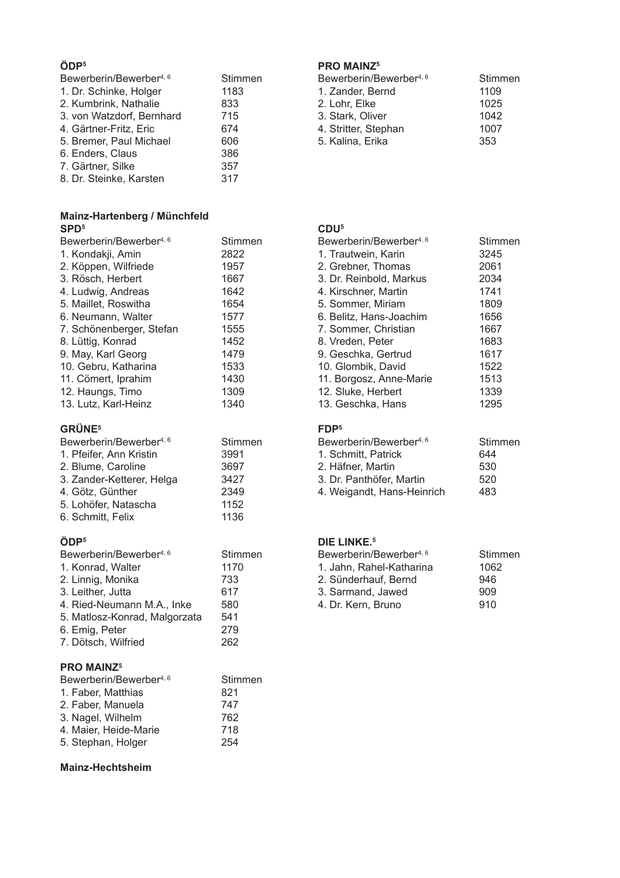#### ÖDP<sup>5</sup>

| Bewerberin/Bewerber <sup>4, 6</sup> | Stimmen |
|-------------------------------------|---------|
| 1. Dr. Schinke, Holger              | 1183    |
| 2. Kumbrink, Nathalie               | 833     |
| 3. von Watzdorf, Bernhard           | 715     |
| 4. Gärtner-Fritz, Eric              | 674     |
| 5. Bremer, Paul Michael             | 606     |
| 6. Enders, Claus                    | 386     |
| 7. Gärtner, Silke                   | 357     |
| 8. Dr. Steinke, Karsten             | 317     |

# Mainz-Hartenberg / Münchfeld<br>SPD<sup>5</sup>

| Bewerberin/Bewerber <sup>4, 6</sup><br>1. Kondakji, Amin<br>2. Köppen, Wilfriede<br>3. Rösch, Herbert<br>4. Ludwig, Andreas<br>5. Maillet, Roswitha<br>6. Neumann, Walter<br>7. Schönenberger, Stefan | Stimmen<br>2822<br>1957<br>1667<br>1642<br>1654<br>1577<br>1555 |
|-------------------------------------------------------------------------------------------------------------------------------------------------------------------------------------------------------|-----------------------------------------------------------------|
|                                                                                                                                                                                                       |                                                                 |
|                                                                                                                                                                                                       |                                                                 |
|                                                                                                                                                                                                       |                                                                 |
| 8. Lüttig, Konrad                                                                                                                                                                                     | 1452                                                            |
| 9. May, Karl Georg                                                                                                                                                                                    | 1479                                                            |
| 10. Gebru, Katharina                                                                                                                                                                                  | 1533                                                            |
| 11. Cömert, Iprahim                                                                                                                                                                                   | 1430                                                            |
| 12. Haungs, Timo                                                                                                                                                                                      | 1309                                                            |
| 13. Lutz, Karl-Heinz                                                                                                                                                                                  | 1340                                                            |

## GRÜNE<sup>5</sup>

| Stimmen |
|---------|
| 3991    |
| 3697    |
| 3427    |
| 2349    |
| 1152    |
| 1136    |
|         |

## ÖDP<sup>5</sup>

| Bewerberin/Bewerber <sup>4, 6</sup> | Stimmen |
|-------------------------------------|---------|
| 1. Konrad, Walter                   | 1170    |
| 2. Linnig, Monika                   | 733     |
| 3. Leither, Jutta                   | 617     |
| 4. Ried-Neumann M.A., Inke          | 580     |
| 5. Matlosz-Konrad, Malgorzata       | 541     |
| 6. Emig, Peter                      | 279     |
| 7. Dötsch, Wilfried                 | 262     |
|                                     |         |

## **PRO MAINZ5**

| Bewerberin/Bewerber <sup>4, 6</sup> | Stimmen |
|-------------------------------------|---------|
| 1. Faber, Matthias                  | 821     |
| 2. Faber, Manuela                   | 747     |
| 3. Nagel, Wilhelm                   | 762     |
| 4. Maier, Heide-Marie               | 718     |
| 5. Stephan, Holger                  | 254     |

#### **Mainz-Hechtsheim**

## **PRO MAINZ<sup>5</sup>**

| Bewerberin/Bewerber <sup>4, 6</sup> | Stimmen |  |
|-------------------------------------|---------|--|
| 1. Zander, Bernd                    | 1109    |  |
| 2. Lohr. Elke                       | 1025    |  |
| 3. Stark, Oliver                    | 1042    |  |
| 4. Stritter, Stephan                | 1007    |  |
| 5. Kalina, Erika                    | 353     |  |

## CDU<sup>5</sup>

| Bewerberin/Bewerber <sup>4, 6</sup> | Stimmen |
|-------------------------------------|---------|
| 1. Trautwein, Karin                 | 3245    |
| 2. Grebner, Thomas                  | 2061    |
| 3. Dr. Reinbold, Markus             | 2034    |
| 4. Kirschner, Martin                | 1741    |
| 5. Sommer, Miriam                   | 1809    |
| 6. Belitz, Hans-Joachim             | 1656    |
| 7. Sommer, Christian                | 1667    |
| 8. Vreden, Peter                    | 1683    |
| 9. Geschka, Gertrud                 | 1617    |
| 10. Glombik, David                  | 1522    |
| 11. Borgosz, Anne-Marie             | 1513    |
| 12. Sluke, Herbert                  | 1339    |
| 13. Geschka, Hans                   | 1295    |

#### FDP<sup>5</sup>

| Bewerberin/Bewerber4, 6    | Stimmen |
|----------------------------|---------|
| 1. Schmitt, Patrick        | 644     |
| 2. Häfner. Martin          | 530     |
| 3. Dr. Panthöfer. Martin   | 520     |
| 4. Weigandt, Hans-Heinrich | 483     |
|                            |         |

## DIE LINKE.<sup>5</sup>

| Bewerberin/Bewerber <sup>4, 6</sup> | Stimmen |
|-------------------------------------|---------|
| 1. Jahn. Rahel-Katharina            | 1062    |
| 2. Sünderhauf. Bernd                | 946     |
| 3. Sarmand, Jawed                   | 909     |
| 4. Dr. Kern, Bruno                  | 910     |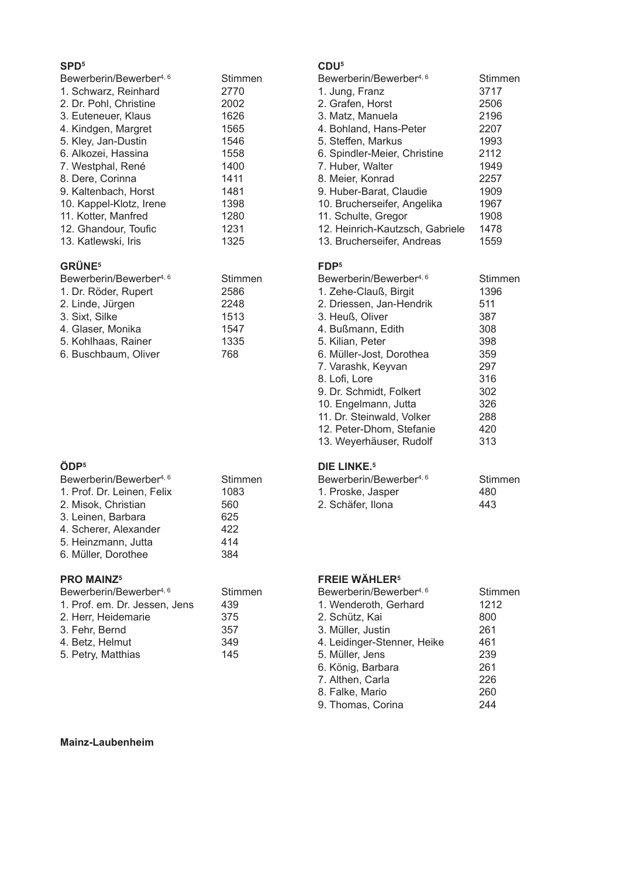| Bewerberin/Bewerber <sup>4, 6</sup> | Stimmen |
|-------------------------------------|---------|
| 1. Schwarz, Reinhard                | 2770    |
| 2. Dr. Pohl, Christine              | 2002    |
| 3. Euteneuer, Klaus                 | 1626    |
| 4. Kindgen, Margret                 | 1565    |
| 5. Kley, Jan-Dustin                 | 1546    |
| 6. Alkozei, Hassina                 | 1558    |
| 7. Westphal, René                   | 1400    |
| 8. Dere, Corinna                    | 1411    |
| 9. Kaltenbach, Horst                | 1481    |
| 10. Kappel-Klotz, Irene             | 1398    |
| 11. Kotter, Manfred                 | 1280    |
| 12. Ghandour, Toufic                | 1231    |
| 13. Katlewski, Iris                 | 1325    |

## **GRÜNE<sup>5</sup>**

| Bewerberin/Bewerber <sup>4, 6</sup> | Stimmen |
|-------------------------------------|---------|
| 1. Dr. Röder, Rupert                | 2586    |
| 2. Linde, Jürgen                    | 2248    |
| 3. Sixt, Silke                      | 1513    |
| 4. Glaser, Monika                   | 1547    |
| 5. Kohlhaas, Rainer                 | 1335    |
| 6. Buschbaum, Oliver                | 768     |

## ÖDP<sup>5</sup>

| 1. Prof. Dr. Leinen, Felix |      |
|----------------------------|------|
|                            | 1083 |
| 2. Misok, Christian        | 560  |
| 3. Leinen, Barbara         | 625  |
| 4. Scherer, Alexander      | 422  |
| 5. Heinzmann, Jutta        | 414  |
| 6. Müller, Dorothee        | 384  |

## **PRO MAINZ5**

| Bewerberin/Bewerber <sup>4, 6</sup> | Stimmen |
|-------------------------------------|---------|
| 1. Prof. em. Dr. Jessen. Jens       | 439     |
| 2. Herr, Heidemarie                 | 375     |
| 3. Fehr, Bernd                      | 357     |
| 4. Betz. Helmut                     | 349     |
| 5. Petry, Matthias                  | 145     |

#### $CDU<sup>5</sup>$

| Bewerberin/Bewerber <sup>4, 6</sup><br>1. Jung, Franz<br>2. Grafen, Horst<br>3. Matz, Manuela | Stimmen<br>3717<br>2506<br>2196 |
|-----------------------------------------------------------------------------------------------|---------------------------------|
| 4. Bohland, Hans-Peter                                                                        | 2207                            |
| 5. Steffen, Markus                                                                            | 1993                            |
| 6. Spindler-Meier, Christine                                                                  | 2112                            |
| 7. Huber, Walter                                                                              | 1949                            |
| 8. Meier, Konrad                                                                              | 2257                            |
| 9. Huber-Barat, Claudie                                                                       | 1909                            |
| 10. Brucherseifer, Angelika                                                                   | 1967                            |
| 11. Schulte, Gregor                                                                           | 1908                            |
| 12. Heinrich-Kautzsch, Gabriele                                                               | 1478                            |
| 13. Brucherseifer, Andreas                                                                    | 1559                            |

#### FDP<sup>5</sup>

| Bewerberin/Bewerber <sup>4, 6</sup> | Stimmen |
|-------------------------------------|---------|
| 1. Zehe-Clauß, Birgit               | 1396    |
| 2. Driessen, Jan-Hendrik            | 511     |
| 3. Heuß, Oliver                     | 387     |
| 4. Bußmann, Edith                   | 308     |
| 5. Kilian, Peter                    | 398     |
| 6. Müller-Jost, Dorothea            | 359     |
| 7. Varashk, Keyvan                  | 297     |
| 8. Lofi, Lore                       | 316     |
| 9. Dr. Schmidt, Folkert             | 302     |
| 10. Engelmann, Jutta                | 326     |
| 11. Dr. Steinwald, Volker           | 288     |
| 12. Peter-Dhom, Stefanie            | 420     |
| 13. Weyerhäuser, Rudolf             | 313     |
|                                     |         |

## DIE LINKE.<sup>5</sup>

| Bewerberin/Bewerber <sup>4, 6</sup> | Stimmen |
|-------------------------------------|---------|
| 1. Proske, Jasper                   | 480     |
| 2. Schäfer, Ilona                   | 443     |

## **FREIE WÄHLER<sup>5</sup>**

| Bewerberin/Bewerber <sup>4, 6</sup> | Stimmen |
|-------------------------------------|---------|
| 1. Wenderoth, Gerhard               | 1212    |
| 2. Schütz, Kai                      | 800     |
| 3. Müller, Justin                   | 261     |
| 4. Leidinger-Stenner, Heike         | 461     |
| 5. Müller, Jens                     | 239     |
| 6. König, Barbara                   | 261     |
| 7. Althen, Carla                    | 226     |
| 8. Falke, Mario                     | 260     |
| 9. Thomas, Corina                   | 244     |

#### Mainz-Laubenheim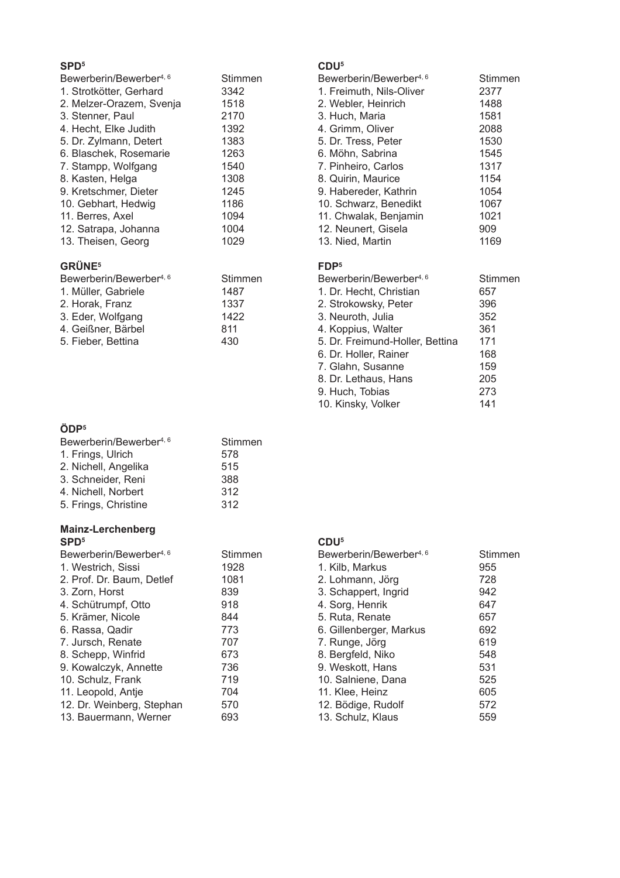| Bewerberin/Bewerber <sup>4, 6</sup> | Stimmen |
|-------------------------------------|---------|
| 1. Strotkötter, Gerhard             | 3342    |
| 2. Melzer-Orazem, Svenja            | 1518    |
| 3. Stenner, Paul                    | 2170    |
| 4. Hecht, Elke Judith               | 1392    |
| 5. Dr. Zylmann, Detert              | 1383    |
| 6. Blaschek, Rosemarie              | 1263    |
| 7. Stampp, Wolfgang                 | 1540    |
| 8. Kasten, Helga                    | 1308    |
| 9. Kretschmer, Dieter               | 1245    |
| 10. Gebhart, Hedwig                 | 1186    |
| 11. Berres, Axel                    | 1094    |
| 12. Satrapa, Johanna                | 1004    |
| 13. Theisen, Georg                  | 1029    |
|                                     |         |

## **GRÜNE<sup>5</sup>**

| Bewerberin/Bewerber <sup>4, 6</sup> | Stimmen |
|-------------------------------------|---------|
| 1. Müller, Gabriele                 | 1487    |
| 2. Horak, Franz                     | 1337    |
| 3. Eder, Wolfgang                   | 1422    |
| 4. Geißner, Bärbel                  | 811     |
| 5. Fieber, Bettina                  | 430     |
|                                     |         |

## $CDU<sup>5</sup>$

| Bewerberin/Bewerber <sup>4, 6</sup> | Stimmen |
|-------------------------------------|---------|
| 1. Freimuth, Nils-Oliver            | 2377    |
| 2. Webler, Heinrich                 | 1488    |
| 3. Huch, Maria                      | 1581    |
| 4. Grimm, Oliver                    | 2088    |
| 5. Dr. Tress, Peter                 | 1530    |
| 6. Möhn, Sabrina                    | 1545    |
| 7. Pinheiro, Carlos                 | 1317    |
| 8. Quirin, Maurice                  | 1154    |
| 9. Habereder, Kathrin               | 1054    |
| 10. Schwarz, Benedikt               | 1067    |
| 11. Chwalak, Benjamin               | 1021    |
| 12. Neunert, Gisela                 | 909     |
| 13. Nied, Martin                    | 1169    |
|                                     |         |

## FDP<sup>5</sup>

| Bewerberin/Bewerber <sup>4, 6</sup> | Stimmen |
|-------------------------------------|---------|
| 1. Dr. Hecht, Christian             | 657     |
| 2. Strokowsky, Peter                | 396     |
| 3. Neuroth, Julia                   | 352     |
| 4. Koppius, Walter                  | 361     |
| 5. Dr. Freimund-Holler, Bettina     | 171     |
| 6. Dr. Holler, Rainer               | 168     |
| 7. Glahn, Susanne                   | 159     |
| 8. Dr. Lethaus, Hans                | 205     |
| 9. Huch, Tobias                     | 273     |
| 10. Kinsky, Volker                  | 141     |

## ÖDP<sup>5</sup>

| Bewerberin/Bewerber <sup>4, 6</sup> | Stimmen |
|-------------------------------------|---------|
| 1. Frings, Ulrich                   | 578     |
| 2. Nichell, Angelika                | 515     |
| 3. Schneider, Reni                  | 388     |
| 4. Nichell, Norbert                 | 312     |
| 5. Frings, Christine                | 312     |
|                                     |         |
| <b>Mainz-Lerchenberg</b>            |         |

#### SPD<sup>5</sup> Bewerberin/Bewerber<sup>4, 6</sup> 1. Westrich, Sissi 2. Prof. Dr. 3. Zorn, Ho 4. Schütrun 5. Krämer, 6. Rassa, C 7. Jursch, F

| 1. Westrich, Sissi        | 1928 |
|---------------------------|------|
| 2. Prof. Dr. Baum, Detlef | 1081 |
| 3. Zorn, Horst            | 839  |
| 4. Schütrumpf, Otto       | 918  |
| 5. Krämer, Nicole         | 844  |
| 6. Rassa, Qadir           | 773  |
| 7. Jursch, Renate         | 707  |
| 8. Schepp, Winfrid        | 673  |
| 9. Kowalczyk, Annette     | 736  |
| 10. Schulz, Frank         | 719  |
| 11. Leopold, Antje        | 704  |
| 12. Dr. Weinberg, Stephan | 570  |
| 13. Bauermann, Werner     | 693  |

Stimmen

## CDU<sup>5</sup>

| Bewerberin/Bewerber <sup>4, 6</sup> | Stimmen |
|-------------------------------------|---------|
| 1. Kilb, Markus                     | 955     |
| 2. Lohmann, Jörg                    | 728     |
| 3. Schappert, Ingrid                | 942     |
| 4. Sorg, Henrik                     | 647     |
| 5. Ruta, Renate                     | 657     |
| 6. Gillenberger, Markus             | 692     |
| 7. Runge, Jörg                      | 619     |
| 8. Bergfeld, Niko                   | 548     |
| 9. Weskott, Hans                    | 531     |
| 10. Salniene, Dana                  | 525     |
| 11. Klee, Heinz                     | 605     |
| 12. Bödige, Rudolf                  | 572     |
| 13. Schulz, Klaus                   | 559     |
|                                     |         |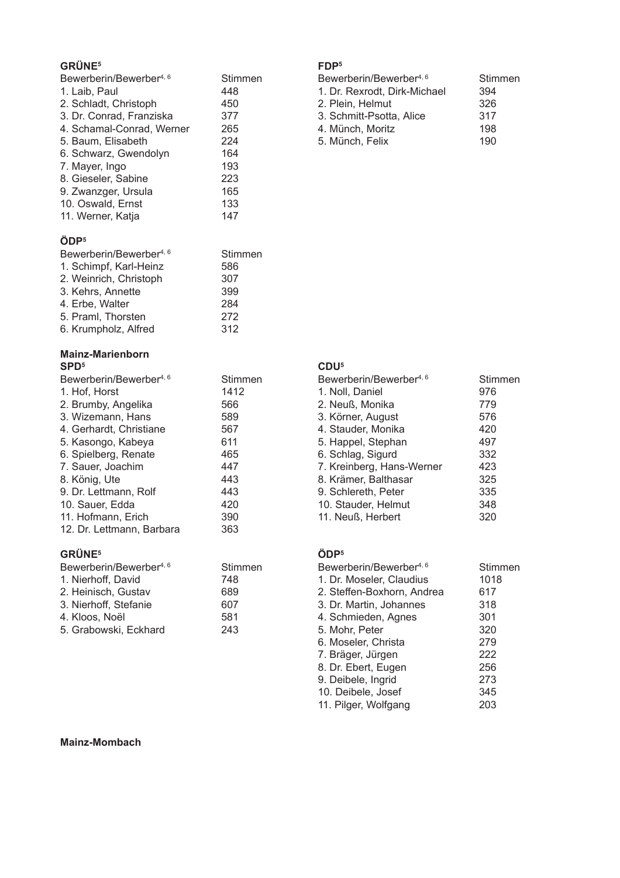## **GRÜNE<sup>5</sup>**

| Bewerberin/Bewerber <sup>4, 6</sup><br>1. Laib, Paul<br>2. Schladt, Christoph<br>3. Dr. Conrad, Franziska<br>4. Schamal-Conrad, Werner<br>5. Baum, Elisabeth<br>6. Schwarz, Gwendolyn<br>7. Mayer, Ingo<br>8. Gieseler, Sabine<br>9. Zwanzger, Ursula                                                                              | <b>Stimmen</b><br>448<br>450<br>377<br>265<br>224<br>164<br>193<br>223<br>165<br>133         |
|------------------------------------------------------------------------------------------------------------------------------------------------------------------------------------------------------------------------------------------------------------------------------------------------------------------------------------|----------------------------------------------------------------------------------------------|
| 10. Oswald, Ernst<br>11. Werner, Katja                                                                                                                                                                                                                                                                                             | 147                                                                                          |
| ÖDP <sup>5</sup><br>Bewerberin/Bewerber <sup>4, 6</sup><br>1. Schimpf, Karl-Heinz<br>2. Weinrich, Christoph<br>3. Kehrs, Annette<br>4. Erbe, Walter<br>5. Praml, Thorsten<br>6. Krumpholz, Alfred                                                                                                                                  | Stimmen<br>586<br>307<br>399<br>284<br>272<br>312                                            |
| <b>Mainz-Marienborn</b>                                                                                                                                                                                                                                                                                                            |                                                                                              |
| SPD <sup>5</sup><br>Bewerberin/Bewerber <sup>4, 6</sup><br>1. Hof, Horst<br>2. Brumby, Angelika<br>3. Wizemann, Hans<br>4. Gerhardt, Christiane<br>5. Kasongo, Kabeya<br>6. Spielberg, Renate<br>7. Sauer, Joachim<br>8. König, Ute<br>9. Dr. Lettmann, Rolf<br>10. Sauer, Edda<br>11. Hofmann, Erich<br>12. Dr. Lettmann, Barbara | Stimmen<br>1412<br>566<br>589<br>567<br>611<br>465<br>447<br>443<br>443<br>420<br>390<br>363 |
| <b>GRÜNE<sup>5</sup></b>                                                                                                                                                                                                                                                                                                           |                                                                                              |

| Bewerberin/Bewerber <sup>4, 6</sup> | Stimmen |
|-------------------------------------|---------|
| 1. Nierhoff, David                  | 748     |
| 2. Heinisch, Gustav                 | 689     |
| 3. Nierhoff, Stefanie               | 607     |
| 4. Kloos, Noël                      | 581     |
| 5. Grabowski, Eckhard               | 243     |

## FDP<sup>5</sup>

| Bewerberin/Bewerber <sup>4, 6</sup> | Stimmen |
|-------------------------------------|---------|
| 1. Dr. Rexrodt, Dirk-Michael        | 394     |
| 2. Plein, Helmut                    | 326     |
| 3. Schmitt-Psotta, Alice            | 317     |
| 4. Münch, Moritz                    | 198     |
| 5. Münch, Felix                     | 190     |
|                                     |         |

## $CDU<sup>5</sup>$

| Bewerberin/Bewerber <sup>4, 6</sup> | Stimmen |
|-------------------------------------|---------|
| 1. Noll, Daniel                     | 976     |
| 2. Neuß, Monika                     | 779     |
| 3. Körner, August                   | 576     |
| 4. Stauder, Monika                  | 420     |
| 5. Happel, Stephan                  | 497     |
| 6. Schlag, Sigurd                   | 332     |
| 7. Kreinberg, Hans-Werner           | 423     |
| 8. Krämer, Balthasar                | 325     |
| 9. Schlereth, Peter                 | 335     |
| 10. Stauder, Helmut                 | 348     |
| 11. Neuß, Herbert                   | 320     |
|                                     |         |

## ÖDP<sup>5</sup>

| Bewerberin/Bewerber <sup>4, 6</sup> | Stimmen |
|-------------------------------------|---------|
| 1. Dr. Moseler, Claudius            | 1018    |
| 2. Steffen-Boxhorn, Andrea          | 617     |
| 3. Dr. Martin, Johannes             | 318     |
| 4. Schmieden, Agnes                 | 301     |
| 5. Mohr, Peter                      | 320     |
| 6. Moseler, Christa                 | 279     |
| 7. Bräger, Jürgen                   | 222     |
| 8. Dr. Ebert, Eugen                 | 256     |
| 9. Deibele, Ingrid                  | 273     |
| 10. Deibele, Josef                  | 345     |
| 11. Pilger, Wolfgang                | 203     |

#### **Mainz-Mombach**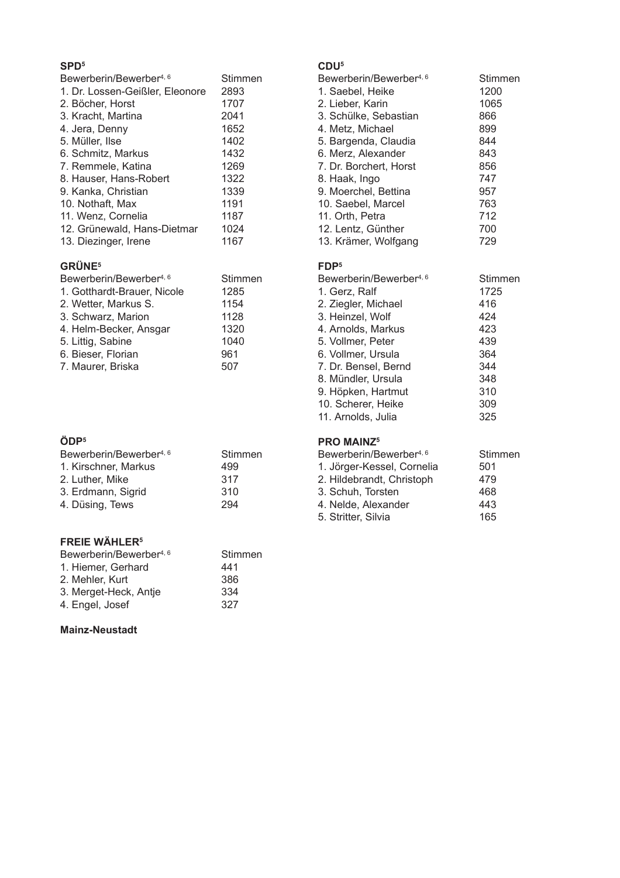| Bewerberin/Bewerber <sup>4, 6</sup> | Stimmen |
|-------------------------------------|---------|
| 1. Dr. Lossen-Geißler, Eleonore     | 2893    |
| 2. Böcher, Horst                    | 1707    |
| 3. Kracht, Martina                  | 2041    |
| 4. Jera, Denny                      | 1652    |
| 5. Müller, Ilse                     | 1402    |
| 6. Schmitz, Markus                  | 1432    |
| 7. Remmele, Katina                  | 1269    |
| 8. Hauser, Hans-Robert              | 1322    |
| 9. Kanka, Christian                 | 1339    |
| 10. Nothaft, Max                    | 1191    |
| 11. Wenz, Cornelia                  | 1187    |
| 12. Grünewald, Hans-Dietmar         | 1024    |
| 13. Diezinger, Irene                | 1167    |
|                                     |         |

## **GRÜNE<sup>5</sup>**

| Bewerberin/Bewerber <sup>4, 6</sup> | Stimmen |
|-------------------------------------|---------|
| 1. Gotthardt-Brauer, Nicole         | 1285    |
| 2. Wetter, Markus S.                | 1154    |
| 3. Schwarz, Marion                  | 1128    |
| 4. Helm-Becker, Ansgar              | 1320    |
| 5. Littig, Sabine                   | 1040    |
| 6. Bieser, Florian                  | 961     |
| 7. Maurer, Briska                   | 507     |

## ÖDP<sup>5</sup>

| Bewerberin/Bewerber <sup>4, 6</sup> | Stimmen |
|-------------------------------------|---------|
| 1. Kirschner, Markus                | 499     |
| 2. Luther, Mike                     | 317     |
| 3. Erdmann, Sigrid                  | 310     |
| 4. Düsing, Tews                     | 294     |

## **FREIE WÄHLER<sup>5</sup>**

| Bewerberin/Bewerber <sup>4, 6</sup> | Stimmen |
|-------------------------------------|---------|
| 1. Hiemer, Gerhard                  | 441     |
| 2. Mehler, Kurt                     | 386     |
| 3. Merget-Heck, Antje               | 334     |
| 4. Engel, Josef                     | 327     |

#### **Mainz-Neustadt**

## $CDU<sup>5</sup>$

| Bewerberin/Bewerber <sup>4, 6</sup> | Stimmen |
|-------------------------------------|---------|
| 1. Saebel, Heike                    | 1200    |
| 2. Lieber, Karin                    | 1065    |
| 3. Schülke, Sebastian               | 866     |
| 4. Metz, Michael                    | 899     |
| 5. Bargenda, Claudia                | 844     |
| 6. Merz, Alexander                  | 843     |
| 7. Dr. Borchert, Horst              | 856     |
| 8. Haak, Ingo                       | 747     |
| 9. Moerchel, Bettina                | 957     |
| 10. Saebel, Marcel                  | 763     |
| 11. Orth, Petra                     | 712     |
| 12. Lentz, Günther                  | 700     |
| 13. Krämer, Wolfgang                | 729     |
|                                     |         |

#### $FDP<sup>5</sup>$

| Bewerberin/Bewerber <sup>4, 6</sup> | Stimmen |
|-------------------------------------|---------|
| 1. Gerz, Ralf                       | 1725    |
| 2. Ziegler, Michael                 | 416     |
| 3. Heinzel, Wolf                    | 424     |
| 4. Arnolds, Markus                  | 423     |
| 5. Vollmer, Peter                   | 439     |
| 6. Vollmer, Ursula                  | 364     |
| 7. Dr. Bensel, Bernd                | 344     |
| 8. Mündler, Ursula                  | 348     |
| 9. Höpken, Hartmut                  | 310     |
| 10. Scherer, Heike                  | 309     |
| 11. Arnolds, Julia                  | 325     |

## **PRO MAINZ5**

| Bewerberin/Bewerber <sup>4, 6</sup> | Stimmen |
|-------------------------------------|---------|
| 1. Jörger-Kessel, Cornelia          | 501     |
| 2. Hildebrandt, Christoph           | 479     |
| 3. Schuh. Torsten                   | 468     |
| 4. Nelde, Alexander                 | 443     |
| 5. Stritter, Silvia                 | 165     |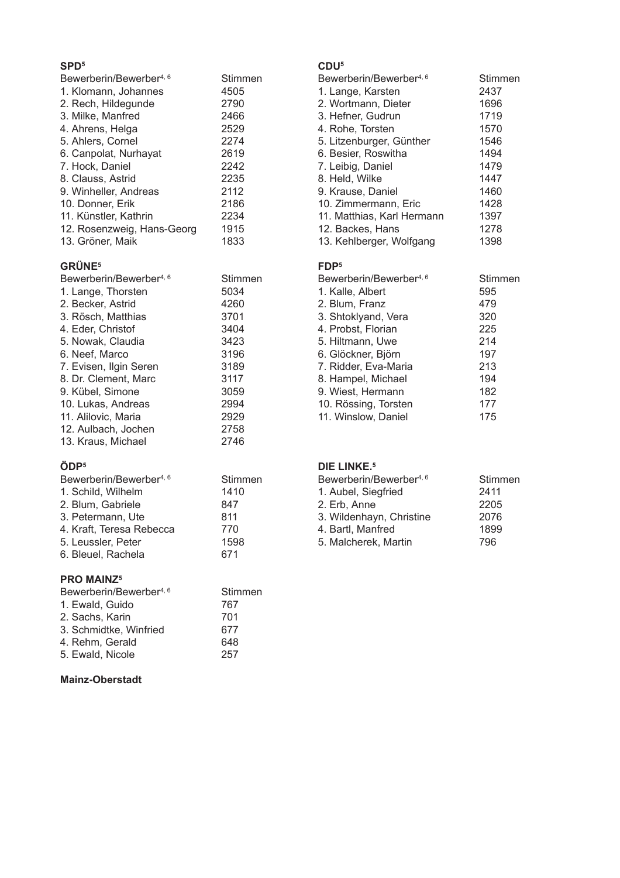| Bewerberin/Bewerber <sup>4, 6</sup> | Stimmen |
|-------------------------------------|---------|
| 1. Klomann, Johannes                | 4505    |
| 2. Rech, Hildegunde                 | 2790    |
| 3. Milke, Manfred                   | 2466    |
| 4. Ahrens, Helga                    | 2529    |
| 5. Ahlers, Cornel                   | 2274    |
| 6. Canpolat, Nurhayat               | 2619    |
| 7. Hock. Daniel                     | 2242    |
| 8. Clauss, Astrid                   | 2235    |
| 9. Winheller, Andreas               | 2112    |
| 10. Donner, Erik                    | 2186    |
| 11. Künstler, Kathrin               | 2234    |
| 12. Rosenzweig, Hans-Georg          | 1915    |
| 13. Gröner, Maik                    | 1833    |
|                                     |         |

## **GRÜNE<sup>5</sup>**

| Bewerberin/Bewerber <sup>4, 6</sup> | Stimmen |
|-------------------------------------|---------|
| 1. Lange, Thorsten                  | 5034    |
| 2. Becker, Astrid                   | 4260    |
| 3. Rösch, Matthias                  | 3701    |
| 4. Eder, Christof                   | 3404    |
| 5. Nowak, Claudia                   | 3423    |
| 6. Neef, Marco                      | 3196    |
| 7. Evisen, Ilgin Seren              | 3189    |
| 8. Dr. Clement. Marc                | 3117    |
| 9. Kübel, Simone                    | 3059    |
| 10. Lukas, Andreas                  | 2994    |
| 11. Alilovic, Maria                 | 2929    |
| 12. Aulbach, Jochen                 | 2758    |
| 13. Kraus, Michael                  | 2746    |
|                                     |         |

## ÖDP<sup>5</sup>

| Bewerberin/Bewerber <sup>4, 6</sup> | Stimmen |
|-------------------------------------|---------|
| 1. Schild, Wilhelm                  | 1410    |
| 2. Blum, Gabriele                   | 847     |
| 3. Petermann, Ute                   | 811     |
| 4. Kraft, Teresa Rebecca            | 770     |
| 5. Leussler, Peter                  | 1598    |
| 6. Bleuel, Rachela                  | 671     |
|                                     |         |

## **PRO MAINZ5**

| Bewerberin/Bewerber <sup>4, 6</sup> | Stimmen |
|-------------------------------------|---------|
| 1. Ewald, Guido                     | 767     |
| 2. Sachs, Karin                     | 701     |
| 3. Schmidtke, Winfried              | 677     |
| 4. Rehm, Gerald                     | 648     |
| 5. Ewald, Nicole                    | 257     |

## **Mainz-Oberstadt**

## $CDU<sup>5</sup>$

| Bewerberin/Bewerber <sup>4, 6</sup> | Stimmen |
|-------------------------------------|---------|
| 1. Lange, Karsten                   | 2437    |
| 2. Wortmann, Dieter                 | 1696    |
| 3. Hefner, Gudrun                   | 1719    |
| 4. Rohe, Torsten                    | 1570    |
| 5. Litzenburger, Günther            | 1546    |
| 6. Besier, Roswitha                 | 1494    |
| 7. Leibig, Daniel                   | 1479    |
| 8. Held, Wilke                      | 1447    |
| 9. Krause, Daniel                   | 1460    |
| 10. Zimmermann, Eric                | 1428    |
| 11. Matthias, Karl Hermann          | 1397    |
| 12. Backes, Hans                    | 1278    |
| 13. Kehlberger, Wolfgang            | 1398    |
|                                     |         |

## $FDP<sup>5</sup>$

| Bewerberin/Bewerber <sup>4, 6</sup> | Stimmen |
|-------------------------------------|---------|
| 1. Kalle, Albert                    | 595     |
| 2. Blum, Franz                      | 479     |
| 3. Shtoklyand, Vera                 | 320     |
| 4. Probst, Florian                  | 225     |
| 5. Hiltmann, Uwe                    | 214     |
| 6. Glöckner, Björn                  | 197     |
| 7. Ridder, Eva-Maria                | 213     |
| 8. Hampel, Michael                  | 194     |
| 9. Wiest, Hermann                   | 182     |
| 10. Rössing, Torsten                | 177     |
| 11. Winslow, Daniel                 | 175     |

## DIE LINKE.<sup>5</sup>

| Bewerberin/Bewerber <sup>4, 6</sup> | Stimmen |
|-------------------------------------|---------|
| 1. Aubel, Siegfried                 | 2411    |
| 2. Erb. Anne                        | 2205    |
| 3. Wildenhayn, Christine            | 2076    |
| 4. Bartl, Manfred                   | 1899    |
| 5. Malcherek, Martin                | 796     |
|                                     |         |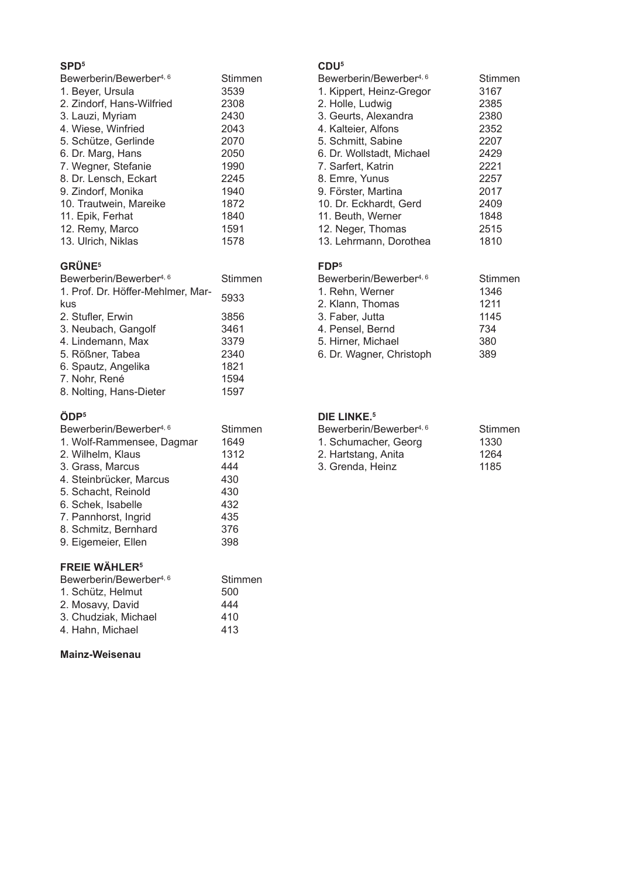| Bewerberin/Bewerber <sup>4, 6</sup> | Stimmen |
|-------------------------------------|---------|
| 1. Beyer, Ursula                    | 3539    |
| 2. Zindorf, Hans-Wilfried           | 2308    |
| 3. Lauzi, Myriam                    | 2430    |
| 4. Wiese, Winfried                  | 2043    |
| 5. Schütze, Gerlinde                | 2070    |
| 6. Dr. Marg, Hans                   | 2050    |
| 7. Wegner, Stefanie                 | 1990    |
| 8. Dr. Lensch, Eckart               | 2245    |
| 9. Zindorf, Monika                  | 1940    |
| 10. Trautwein, Mareike              | 1872    |
| 11. Epik, Ferhat                    | 1840    |
| 12. Remy, Marco                     | 1591    |
| 13. Ulrich, Niklas                  | 1578    |

## **GRÜNE<sup>5</sup>**

| Bewerberin/Bewerber <sup>4, 6</sup> | Stimmen |
|-------------------------------------|---------|
| 1. Prof. Dr. Höffer-Mehlmer, Mar-   | 5933    |
| kus                                 |         |
| 2. Stufler, Erwin                   | 3856    |
| 3. Neubach, Gangolf                 | 3461    |
| 4. Lindemann, Max                   | 3379    |
| 5. Rößner, Tabea                    | 2340    |
| 6. Spautz, Angelika                 | 1821    |
| 7. Nohr, René                       | 1594    |
| 8. Nolting, Hans-Dieter             | 1597    |
|                                     |         |

## ÖDP<sup>5</sup>

| Bewerberin/Bewerber <sup>4, 6</sup> | Stimmen |
|-------------------------------------|---------|
| 1. Wolf-Rammensee, Dagmar           | 1649    |
| 2. Wilhelm, Klaus                   | 1312    |
| 3. Grass, Marcus                    | 444     |
| 4. Steinbrücker, Marcus             | 430     |
| 5. Schacht, Reinold                 | 430     |
| 6. Schek, Isabelle                  | 432     |
| 7. Pannhorst, Ingrid                | 435     |
| 8. Schmitz, Bernhard                | 376     |
| 9. Eigemeier, Ellen                 | 398     |
| <b>FREIE WÄHLER<sup>5</sup></b>     |         |
| Bewerberin/Bewerber <sup>4, 6</sup> | Stimmen |
| 1. Schütz, Helmut                   | 500     |
| 2. Mosavy, David                    | 444     |
| .                                   |         |

#### 3. Chudziak, Michael 410 4. Hahn, Michael 413

## Mainz-Weisenau

## $CDU<sup>5</sup>$

| Bewerberin/Bewerber <sup>4, 6</sup> | Stimmen |
|-------------------------------------|---------|
| 1. Kippert, Heinz-Gregor            | 3167    |
| 2. Holle, Ludwig                    | 2385    |
| 3. Geurts, Alexandra                | 2380    |
| 4. Kalteier, Alfons                 | 2352    |
| 5. Schmitt, Sabine                  | 2207    |
| 6. Dr. Wollstadt, Michael           | 2429    |
| 7. Sarfert, Katrin                  | 2221    |
| 8. Emre, Yunus                      | 2257    |
| 9. Förster, Martina                 | 2017    |
| 10. Dr. Eckhardt, Gerd              | 2409    |
| 11. Beuth, Werner                   | 1848    |
| 12. Neger, Thomas                   | 2515    |
| 13. Lehrmann, Dorothea              | 1810    |

## FDP<sup>5</sup>

| Bewerberin/Bewerber <sup>4, 6</sup> | Stimmen |
|-------------------------------------|---------|
| 1. Rehn, Werner                     | 1346    |
| 2. Klann, Thomas                    | 1211    |
| 3. Faber, Jutta                     | 1145    |
| 4. Pensel, Bernd                    | 734     |
| 5. Hirner, Michael                  | 380     |
| 6. Dr. Wagner, Christoph            | 389     |

#### DIE LINKE.<sup>5</sup>

| Bewerberin/Bewerber <sup>4, 6</sup> | Stimmen |
|-------------------------------------|---------|
| 1. Schumacher, Georg                | 1330    |
| 2. Hartstang, Anita                 | 1264    |
| 3. Grenda, Heinz                    | 1185    |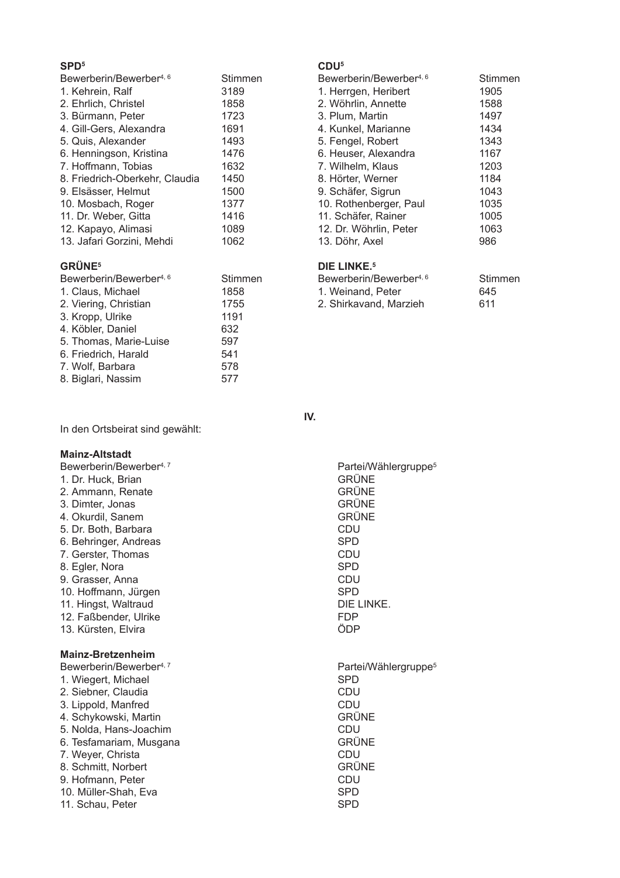| Bewerberin/Bewerber <sup>4, 6</sup> | <b>Stimmen</b> |
|-------------------------------------|----------------|
| 1. Kehrein, Ralf                    | 3189           |
| 2. Ehrlich, Christel                | 1858           |
| 3. Bürmann, Peter                   | 1723           |
| 4. Gill-Gers, Alexandra             | 1691           |
| 5. Quis, Alexander                  | 1493           |
| 6. Henningson, Kristina             | 1476           |
| 7. Hoffmann, Tobias                 | 1632           |
| 8. Friedrich-Oberkehr, Claudia      | 1450           |
| 9. Elsässer, Helmut                 | 1500           |
| 10. Mosbach, Roger                  | 1377           |
| 11. Dr. Weber, Gitta                | 1416           |
| 12. Kapayo, Alimasi                 | 1089           |
| 13. Jafari Gorzini, Mehdi           | 1062           |

## **GRÜNE<sup>5</sup>**

| Bewerberin/Bewerber <sup>4, 6</sup> | Stimmen |
|-------------------------------------|---------|
| 1. Claus, Michael                   | 1858    |
| 2. Viering, Christian               | 1755    |
| 3. Kropp, Ulrike                    | 1191    |
| 4. Köbler, Daniel                   | 632     |
| 5. Thomas, Marie-Luise              | 597     |
| 6. Friedrich, Harald                | 541     |
| 7. Wolf, Barbara                    | 578     |
| 8. Biglari, Nassim                  | 577     |
|                                     |         |

In den Ortsbeirat sind gewählt:

#### $CDU<sup>5</sup>$

| Stimmen |
|---------|
| 1905    |
| 1588    |
| 1497    |
| 1434    |
| 1343    |
| 1167    |
| 1203    |
| 1184    |
| 1043    |
| 1035    |
| 1005    |
| 1063    |
| 986     |
|         |

## DIE LINKE.<sup>5</sup>

| Bewerberin/Bewerber <sup>4, 6</sup> | Stimmen |
|-------------------------------------|---------|
| 1. Weinand, Peter                   | 645     |
| 2. Shirkavand, Marzieh              | 611     |

IV.

| <b>Mainz-Altstadt</b><br>Bewerberin/Bewerber <sup>4, 7</sup><br>1. Dr. Huck, Brian<br>2. Ammann, Renate<br>3. Dimter, Jonas<br>4. Okurdil, Sanem<br>5. Dr. Both, Barbara<br>6. Behringer, Andreas<br>7. Gerster, Thomas<br>8. Egler, Nora<br>9. Grasser, Anna<br>10. Hoffmann, Jürgen<br>11. Hingst, Waltraud<br>12. Faßbender, Ulrike<br>13. Kürsten, Elvira | Partei/Wählergruppe <sup>5</sup><br><b>GRÜNE</b><br><b>GRÜNE</b><br><b>GRÜNE</b><br><b>GRÜNE</b><br>CDU<br><b>SPD</b><br>CDU<br><b>SPD</b><br>CDU<br><b>SPD</b><br>DIE LINKE.<br><b>FDP</b><br>ÖDP |
|---------------------------------------------------------------------------------------------------------------------------------------------------------------------------------------------------------------------------------------------------------------------------------------------------------------------------------------------------------------|----------------------------------------------------------------------------------------------------------------------------------------------------------------------------------------------------|
| <b>Mainz-Bretzenheim</b><br>Bewerberin/Bewerber <sup>4, 7</sup><br>1. Wiegert, Michael<br>2. Siebner, Claudia<br>3. Lippold, Manfred<br>4. Schykowski, Martin<br>5. Nolda, Hans-Joachim<br>6. Tesfamariam, Musgana<br>7. Weyer, Christa<br>8. Schmitt, Norbert<br>9. Hofmann, Peter<br>10. Müller-Shah, Eva<br>11. Schau, Peter                               | Partei/Wählergruppe <sup>5</sup><br>SPD<br>CDU<br>CDU<br><b>GRÜNE</b><br>CDU<br><b>GRÜNE</b><br>CDU<br><b>GRÜNE</b><br>CDU<br><b>SPD</b><br><b>SPD</b>                                             |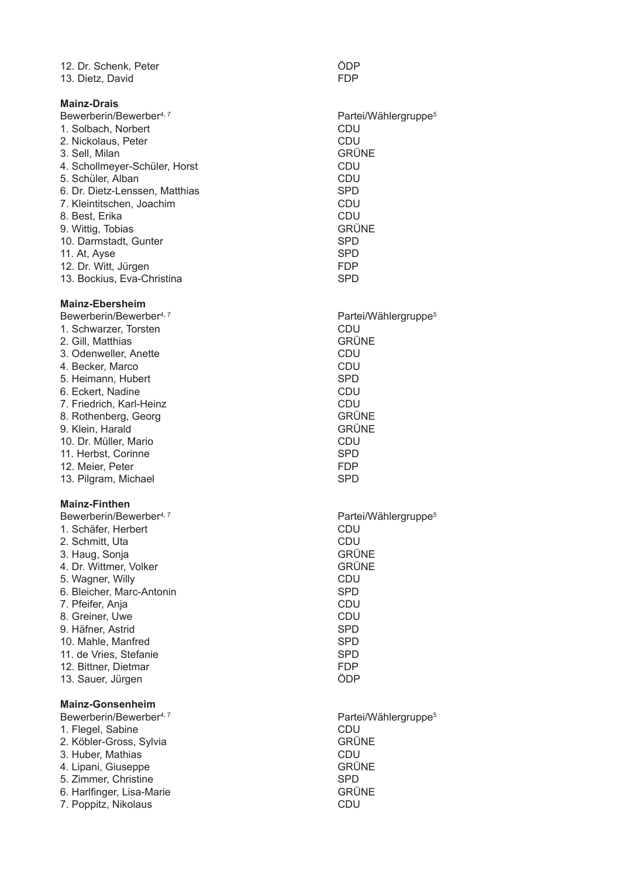12. Dr. Schenk, Peter<br>13. Dietz David – EDP<br>13. Dietz David 13. Dietz, Davi

#### **Mainz-Drais**

Bewerberin/Bewerber<sup>4, 7</sup> and 1990 and 2000 and 2011 and 2012 and 2012 and 2013 1. Solbach, Norbert CDU 2. Nickolaus, Peter and the state of the CDU 3. Sell, Milan 4. Schollmeyer-Schüler, Horst and a state of the CDU 5. Schüler, Alban<br>6. Dr. Dietz-Lenssen, Matthias (1998) 1999 - Alban SPD 6. Dr. Dietz-Lenssen, Matthi 7. Kleintitschen, Joachi 8. Best, Erika ka **CDU** 9. Wittig, Tobi 10. Darmstadt, Gunter and SPD SPD 11. At, Ayse SPD 12. Dr. Witt, Jürgen von der Statten von Statten von Statten von Statten von Statten von Statten von Statten 13. Bockius, Eva-Christi

#### **Mainz-Ebersheim**

Bewerberin/Bewerber<sup>4, 7</sup> and 1990 and 2000 and 2011 and 2012 and 2012 and 2013 1. Schwarzer, Torsten and The CDU 2. Gill, Matthi 3. Odenweller. Anette and the control of the control of the control of the control of the control of the control of the control of the control of the control of the control of the control of the control of the control of t 4. Becker. Marco **And COLL** 5. Heimann, Hubert **Executive SPD** 6. Eckert. Nadine ne **CDU** 7. Friedrich, Karl-Hei .6#)# 678 9. Klein, Harald **by Executive CRÜNE** 10. Dr. Müller, Mario 11. Herbst. Corinne nne SPD 12. Meier, Peter and the control of the control of the FDP 13. Pilgram, Mi chael **SPD** SPD Mainz-Finthen

Bewerberin/Bewerber<sup>4, 7</sup> and 1990 and 2000 and 2011 and 2012 and 2012 and 2013 1. Schäfer, Herbert CDU 2. Schmitt, Uta )5 45 3. Haug, Sonja and Sonja and Sonja and Sonja and Sonja and Sonja and Sonja and Sonja and Sonja and Sonja and S 4. Dr. Wittmer, Volker and South American School GRÜNE 5. Wagner, Willy  $\blacksquare$  Hy  $\blacksquare$ 6. Bleicher, Marc-Antoni 7. Pfeifer, Anja **Manual According to the CDU** 8. Greiner, Uwe **Example 2018** CDU 9. Häfner, Astrid d SPD 10. Mahle, Manfred SPD 11. de Vries, Stefani 12. Bittner, Dietmar and South American Study of The FDP 13. Sauer, Jürgen aus der Statte der Statte der Statte der Statte der Statte der Statte der Statte der Statte

#### **Mainz-Gonsenheim**

Bewerberin/Bewerber<sup>4, 7</sup> and 1990 and 2000 and 2011 and 2012 and 2012 and 2013 1. Flegel, Sabine ne **CDU** 2. Köbler-Gross, Sylvia 3. Huber, Mathias as CDU 4. Lipani, Gi 5. Zimmer, Christi ne SPD 6. Harlfinger, Lisa-Mari -(#33 )8 G# 45

d FDP Partei/Wählergruppe<sup>5</sup> GRÜNE as SPD m CDU **GRÜNE** na SPD Partei/Wählergruppe<sup>5</sup> GRÜNE nz CDU o complete the complete of the complete complete  $\sim$ Partei/Wählergruppe<sup>5</sup> n SPD e SPD Partei/Wählergruppe<sup>5</sup> **GRÜNE GRÜNE** 

GRÜNE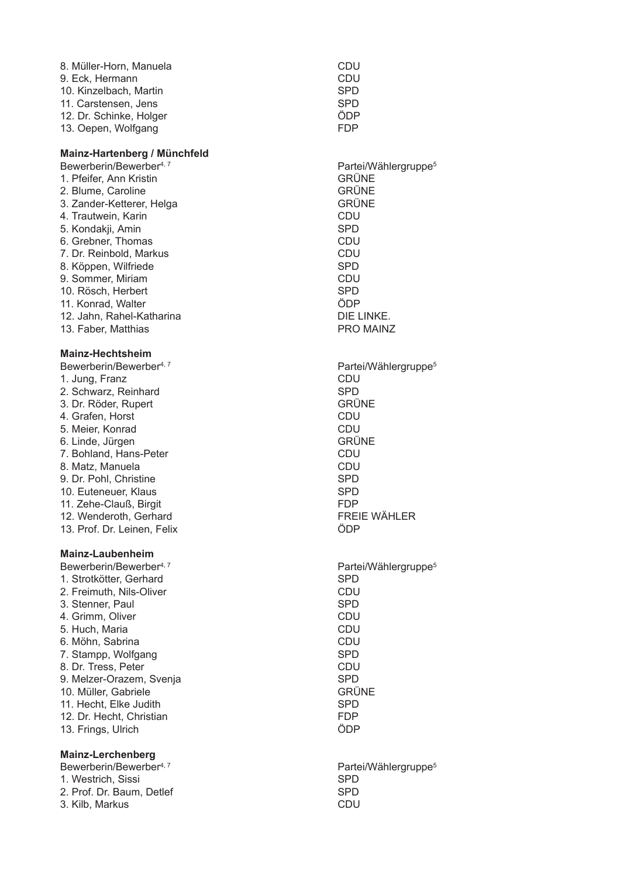| CDU        |
|------------|
| CDU        |
| <b>SPD</b> |
| <b>SPD</b> |
| ÖDP        |
| <b>FDP</b> |
|            |

#### **Mainz-Hartenberg / Münchfeld**

Bewerberin/Bewerber<sup>4, 7</sup> and 1990 and 2000 and 2011 and 2012 and 2012 and 2013 1. Pfeifer, Ann Kristi 2 Blume Caroline 3. Zander-Ketterer, Helga 4. Trautwein, Kari n CDU 5. Kondakji, Ami n SPD 6. Grebner, Thomas CDU 7. Dr. Reinbold, Markus and Santon CDU 8. Köppen, Wilfri ede SPD 9. Sommer, Miri am CDU 10. Rösch, Herbert SPD<br>11. Konrad. Walter Senator SPD 11. Konrad, Walter 12. Jahn. Rahel-Katharina 13. Faber, Matthias

#### **Mainz-Hechtsheim**

Bewerberin/Bewerber<sup>4, 7</sup> and 1990 and 2000 and 2011 and 2012 and 2012 and 2013 1. Jung, Franz (1999)<br>2. Schwarz, Reinhard (1999) 1999 (1999) 1999 (1999) 1999 (1999) 1999 (1999) 1999 2. Schwarz, Reinhard **Communist SPD** SPD &6F)63 678 4. Grafen, Horst (1999)<br>5. Meier Konrad (1999) - Santa (1999) - CDU 5. Meier, Konrad and South American CDU 6. Linde, Jürgen als andere andere som ble stattet af det statte andere som ble statte andere som bl 7. Bohland, Hans-Peter<br>8. Matz. Manuela 8. Matz, Manuela<br>9. Dr. Pobl. Christine (1999) 1999 - SPD (1999) 1999 - SPD (1999) 1999 - SPD (1999) 1999 - SPD (1999) 1999 - SPD 9. Dr. Pohl, Christi ne SPD 10. Euteneuer. Klaus and the state of the SPD 11. Zehe-Clauß, Birgi t and the state of the state of the state of the state of the state of the state of the state of the state of the state of the state of the state of the state of the state of the state of the state of the state of the stat 12. Wenderoth. Gerhard **Example 2018** FREIE WÄHLER 13. Prof. Dr. Leinen, Feli

#### **Mainz-Laubenheim**

Bewerberin/Bewerber<sup>4, 7</sup> and 1990 and 2000 and 2011 and 2012 and 2012 and 2013 1. Strotkötter. Gerhard and a strong system of the SPD 2. Freimuth, Nils-Oli ver and the second control of the control of the control of the control of the control of the control of the control of the control of the control of the control of the control of the control of the control of the control 3. Stenner, Paul and SPD SPD SPD 4. Grimm, Oli  $\bullet$  455  $\bullet$  455  $\bullet$  455  $\bullet$  455  $\bullet$  455  $\bullet$  455  $\bullet$  455  $\bullet$  455  $\bullet$  455  $\bullet$  455  $\bullet$  455  $\bullet$  455  $\bullet$  455  $\bullet$  455  $\bullet$  455  $\bullet$  455  $\bullet$  455  $\bullet$  455  $\bullet$  455  $\bullet$  455  $\bullet$  455  $\bullet$  455  $\bullet$  455  $\bullet$  455  $\bullet$  5. Huch. Maria a complete the contract of the contract of the contract of the contract of the contract of the contract of the 6. Möhn, Sabrina na and a contract of the contract of the contract of the contract of the contract of the contract of the contra 7. Stampp, Wolfgang and SPD SPD SPD 8. Dr. Tress, Peter and the contract of the contract of the contract of the contract of the contract of the contract of the contract of the contract of the contract of the contract of the contract of the contract of the co 9. Melzer-Orazem, Svenja en analytica service service service service service service service service service 10. Müller, Gabriele 11. Hecht, Elke Judith the state of the state of the SPD 12. Dr. Hecht, Christi an **FDP** 13. Frings, Ulri ch and the contract of the contract of the contract of the contract of the contract of the contract of the con

#### **Mainz-Lerchenberg**

Bewerberin/Bewerber<sup>4, 7</sup> and 1990 and 2000 and 2011 and 2012 and 2012 and 2013 1. Westrich, Sissi in the contract of the contract of the SPD state of the SPD state of the SPD state of the SPD state of the SPD 2. Prof. Dr. Baum, Detlef SPD 3. Kilb, Markus **CDU** 

Partei/Wählergruppe<sup>5</sup> **GRÜNE GRÜNE**<br>GRÜNE DIE LINKE. PRO MAINZ Partei/Wählergruppe<sup>5</sup> K :( Partei/Wählergruppe<sup>5</sup>

GRÜNE

Partei/Wählergruppe<sup>5</sup>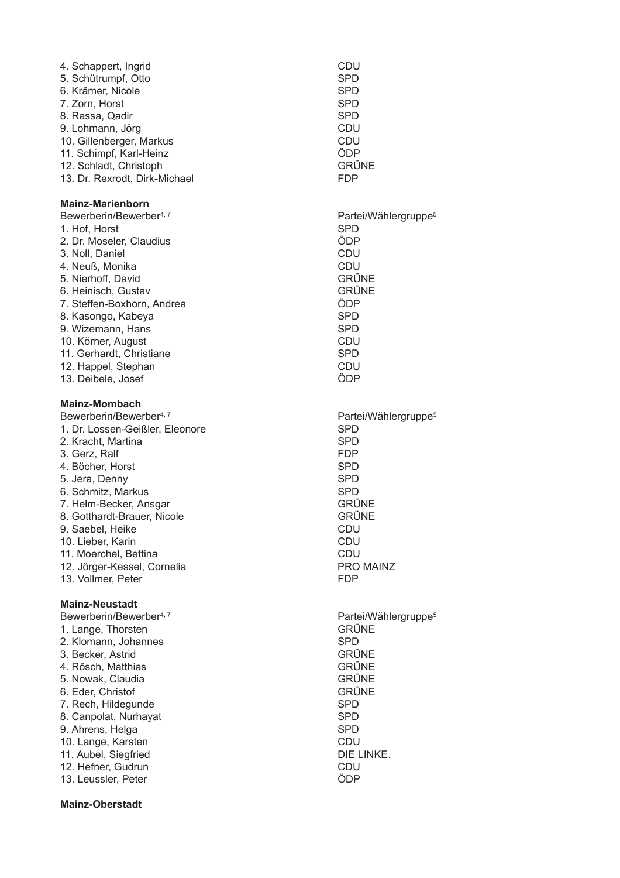| 4. Schappert, Ingrid<br>5. Schütrumpf, Otto | CDU<br><b>SPD</b>                |
|---------------------------------------------|----------------------------------|
| 6. Krämer, Nicole                           | <b>SPD</b>                       |
| 7. Zorn, Horst                              | <b>SPD</b>                       |
| 8. Rassa, Qadir                             | <b>SPD</b>                       |
| 9. Lohmann, Jörg                            | <b>CDU</b>                       |
| 10. Gillenberger, Markus                    | CDU                              |
| 11. Schimpf, Karl-Heinz                     | ÖDP                              |
| 12. Schladt, Christoph                      | <b>GRÜNE</b>                     |
| 13. Dr. Rexrodt, Dirk-Michael               | <b>FDP</b>                       |
|                                             |                                  |
| <b>Mainz-Marienborn</b>                     |                                  |
| Bewerberin/Bewerber <sup>4, 7</sup>         | Partei/Wählergruppe <sup>5</sup> |
| 1. Hof, Horst                               | <b>SPD</b>                       |
| 2. Dr. Moseler, Claudius                    | ÖDP                              |
| 3. Noll, Daniel                             | CDU                              |
| 4. Neuß, Monika                             | <b>CDU</b>                       |
| 5. Nierhoff, David                          | <b>GRÜNE</b>                     |
| 6. Heinisch, Gustav                         | <b>GRÜNE</b>                     |
| 7. Steffen-Boxhorn, Andrea                  | ÖDP                              |
| 8. Kasongo, Kabeya                          | <b>SPD</b>                       |
| 9. Wizemann, Hans                           | <b>SPD</b>                       |
| 10. Körner, August                          | CDU                              |
| 11. Gerhardt, Christiane                    | <b>SPD</b>                       |
| 12. Happel, Stephan                         | CDU                              |
| 13. Deibele, Josef                          | ÖDP                              |
|                                             |                                  |
| <b>Mainz-Mombach</b>                        |                                  |
| Bewerberin/Bewerber <sup>4, 7</sup>         | Partei/Wählergruppe <sup>5</sup> |
| 1. Dr. Lossen-Geißler, Eleonore             | <b>SPD</b>                       |
| 2. Kracht, Martina                          | <b>SPD</b>                       |
| 3. Gerz, Ralf                               | <b>FDP</b>                       |
| 4. Böcher, Horst                            | <b>SPD</b>                       |
| 5. Jera, Denny                              | <b>SPD</b>                       |
| 6. Schmitz, Markus                          | <b>SPD</b>                       |
| 7. Helm-Becker, Ansgar                      | <b>GRÜNE</b>                     |
| 8. Gotthardt-Brauer, Nicole                 | <b>GRÜNE</b>                     |
| 9. Saebel, Heike                            | CDU                              |
| 10. Lieber, Karin                           | CDU                              |
| 11. Moerchel, Bettina                       | <b>CDU</b>                       |
| 12. Jörger-Kessel, Cornelia                 | <b>PRO MAINZ</b>                 |
| 13. Vollmer, Peter                          | <b>FDP</b>                       |
|                                             |                                  |
| <b>Mainz-Neustadt</b>                       |                                  |
| Bewerberin/Bewerber <sup>4, 7</sup>         | Partei/Wählergruppe <sup>5</sup> |
| 1. Lange, Thorsten                          | <b>GRÜNE</b>                     |
| 2. Klomann, Johannes                        | <b>SPD</b>                       |
| 3. Becker, Astrid                           | <b>GRÜNE</b>                     |
| 4. Rösch, Matthias                          | <b>GRÜNE</b>                     |
| 5. Nowak, Claudia                           | <b>GRÜNE</b>                     |
| 6. Eder, Christof                           | <b>GRÜNE</b>                     |
| 7. Rech, Hildegunde                         | <b>SPD</b>                       |
| 8. Canpolat, Nurhayat                       | <b>SPD</b>                       |
| 9. Ahrens, Helga                            | <b>SPD</b>                       |
| 10. Lange, Karsten                          | <b>CDU</b>                       |
| 11. Aubel, Siegfried                        | DIE LINKE.                       |
| 12. Hefner, Gudrun                          | <b>CDU</b>                       |
| 13. Leussler, Peter                         | ÖDP                              |
|                                             |                                  |

#### Mainz-Oberstadt